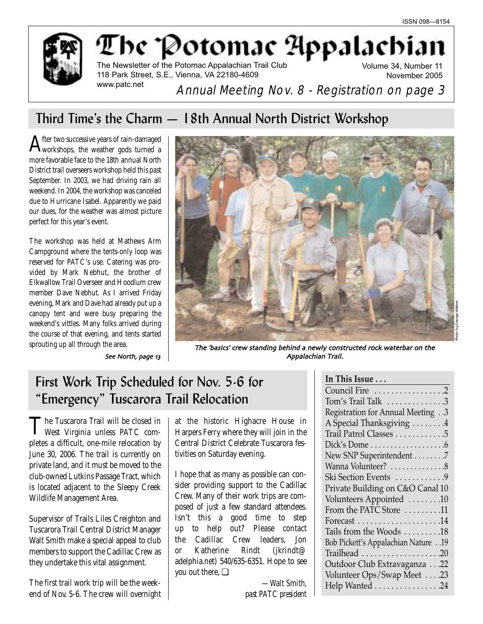

# The Potomac Appalachi The Newsletter of the Potomac Appalachian Trail Club

118 Park Street, S.E., Vienna, VA 22180-4609 www.patc.net

Volume 34, Number 11 November 2005

Annual Meeting Nov. 8 - Registration on page 3

# Third Time's the Charm — 18th Annual North District Workshop

 ${\rm A}$ fter two successive years of rain-damaged $_{\rm workshops,~the~weather~gods~turned~a}$ more favorable face to the 18th annual North District trail overseers workshop held this past September. In 2003, we had driving rain all weekend. In 2004, the workshop was canceled due to Hurricane Isabel. Apparently we paid our dues, for the weather was almost picture perfect for this year's event.

The workshop was held at Mathews Arm Campground where the tents-only loop was reserved for PATC's use. Catering was provided by Mark Nebhut, the brother of Elkwallow Trail Overseer and Hoodlum crew member Dave Nebhut. As I arrived Friday evening, Mark and Dave had already put up a canopy tent and were busy preparing the weekend's vittles. Many folks arrived during the course of that evening, and tents started



sprouting up all through the area. The 'basics' crew standing behind a newly constructed rock waterbar on the See North page Appalachian Trail

# First Work Trip Scheduled for Nov. 5-6 for "Emergency" Tuscarora Trail Relocation

The Tuscarora Trail will be closed in West Virginia unless PATC completes a difficult, one-mile relocation by June 30, 2006. The trail is currently on private land, and it must be moved to the club-owned Lutkins Passage Tract, which is located adjacent to the Sleepy Creek Wildlife Management Area.

Supervisor of Trails Liles Creighton and Tuscarora Trail Central District Manager Walt Smith make a special appeal to club members to support the Cadillac Crew as they undertake this vital assignment.

The first trail work trip will be the weekend of Nov. 5-6. The crew will overnight

at the historic Highacre House in Harpers Ferry where they will join in the Central District Celebrate Tuscarora festivities on Saturday evening.

I hope that as many as possible can consider providing support to the Cadillac Crew. Many of their work trips are composed of just a few standard attendees. Isn't this a good time to step up to help out? Please contact the Cadillac Crew leaders, Jon or Katherine Rindt (jkrindt@ adelphia.net) 540/635-6351. Hope to see you out there, ❏

> *—Walt Smith, past PATC president*

| In This Issue                                       |
|-----------------------------------------------------|
| Council Fire 2                                      |
| Tom's Trail Talk $\ldots$ 3                         |
| Registration for Annual Meeting3                    |
| A Special Thanksgiving 4                            |
| Trail Patrol Classes 5                              |
|                                                     |
| New SNP Superintendent 7                            |
| Wanna Volunteer? 8                                  |
| Ski Section Events 9                                |
| Private Building on C&O Canal 10                    |
| Volunteers Appointed 10                             |
| From the PATC Store $\dots\dots\dots$               |
| Forecast $\dots\dots\dots\dots\dots\dots\dots$      |
| Tails from the Woods 18                             |
| 19. Bob Pickett's Appalachian Nature19              |
|                                                     |
| Outdoor Club Extravaganza22                         |
| Volunteer Ops/Swap Meet 23                          |
| Help Wanted $\ldots \ldots \ldots \ldots \ldots 24$ |
|                                                     |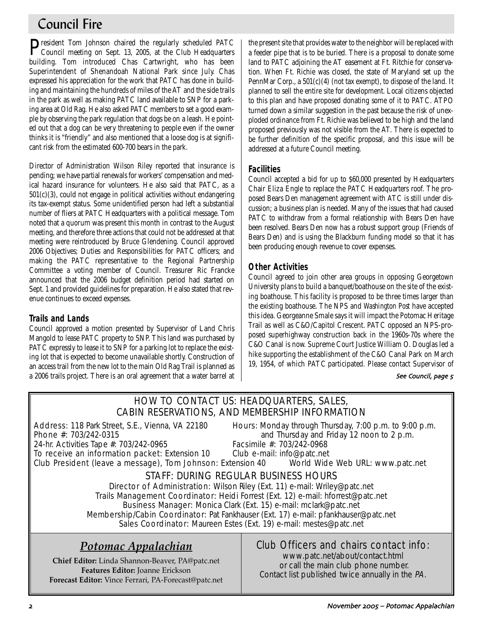# Council Fire

President Tom Johnson chaired the regularly scheduled PATC<br>Council meeting on Sept. 13, 2005, at the Club Headquarters building. Tom introduced Chas Cartwright, who has been Superintendent of Shenandoah National Park since July. Chas expressed his appreciation for the work that PATC has done in building and maintaining the hundreds of miles of the AT and the side trails in the park as well as making PATC land available to SNP for a parking area at Old Rag. He also asked PATC members to set a good example by observing the park regulation that dogs be on a leash. He pointed out that a dog can be very threatening to people even if the owner thinks it is "friendly" and also mentioned that a loose dog is at significant risk from the estimated 600-700 bears in the park.

Director of Administration Wilson Riley reported that insurance is pending; we have partial renewals for workers' compensation and medical hazard insurance for volunteers. He also said that PATC, as a  $501(c)(3)$ , could not engage in political activities without endangering its tax-exempt status. Some unidentified person had left a substantial number of fliers at PATC Headquarters with a political message. Tom noted that a quorum was present this month in contrast to the August meeting, and therefore three actions that could not be addressed at that meeting were reintroduced by Bruce Glendening. Council approved 2006 Objectives; Duties and Responsibilities for PATC officers; and making the PATC representative to the Regional Partnership Committee a voting member of Council. Treasurer Ric Francke announced that the 2006 budget definition period had started on Sept. 1 and provided guidelines for preparation. He also stated that revenue continues to exceed expenses.

# **Trails and Lands**

Council approved a motion presented by Supervisor of Land Chris Mangold to lease PATC property to SNP. This land was purchased by PATC expressly to lease it to SNP for a parking lot to replace the existing lot that is expected to become unavailable shortly. Construction of an access trail from the new lot to the main Old Rag Trail is planned as a 2006 trails project. There is an oral agreement that a water barrel at the present site that provides water to the neighbor will be replaced with a feeder pipe that is to be buried. There is a proposal to donate some land to PATC adjoining the AT easement at Ft. Ritchie for conservation. When Ft. Richie was closed, the state of Maryland set up the PennMar Corp., a  $501(c)(4)$  (not tax exempt), to dispose of the land. It planned to sell the entire site for development. Local citizens objected to this plan and have proposed donating some of it to PATC. ATPO turned down a similar suggestion in the past because the risk of unexploded ordinance from Ft. Richie was believed to be high and the land proposed previously was not visible from the AT. There is expected to be further definition of the specific proposal, and this issue will be addressed at a future Council meeting.

## **Facilities**

Council accepted a bid for up to \$60,000 presented by Headquarters Chair Eliza Engle to replace the PATC Headquarters roof. The proposed Bears Den management agreement with ATC is still under discussion; a business plan is needed. Many of the issues that had caused PATC to withdraw from a formal relationship with Bears Den have been resolved. Bears Den now has a robust support group (Friends of Bears Den) and is using the Blackburn funding model so that it has been producing enough revenue to cover expenses.

# **Other Activities**

Council agreed to join other area groups in opposing Georgetown University plans to build a banquet/boathouse on the site of the existing boathouse. This facility is proposed to be three times larger than the existing boathouse. The NPS and *Washington Post* have accepted this idea. Georgeanne Smale says it will impact the Potomac Heritage Trail as well as C&O/Capitol Crescent. PATC opposed an NPS-proposed superhighway construction back in the 1960s-70s where the C&O Canal is now. Supreme Court Justice William O. Douglas led a hike supporting the establishment of the C&O Canal Park on March 19, 1954, of which PATC participated. Please contact Supervisor of

## See Council, page 5

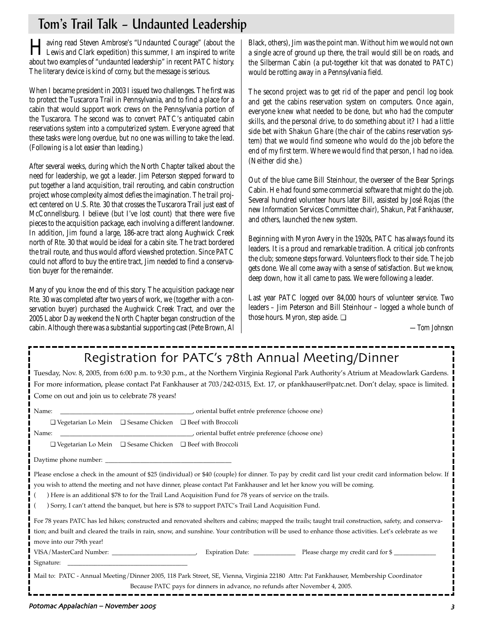# Tom's Trail Talk – Undaunted Leadership

Having read Steven Ambrose's "Undaunted Courage" (about the Lewis and Clark expedition) this summer, I am inspired to write about two examples of "undaunted leadership" in recent PATC history. The literary device is kind of corny, but the message is serious.

When I became president in 2003 I issued two challenges. The first was to protect the Tuscarora Trail in Pennsylvania, and to find a place for a cabin that would support work crews on the Pennsylvania portion of the Tuscarora. The second was to convert PATC's antiquated cabin reservations system into a computerized system. Everyone agreed that these tasks were long overdue, but no one was willing to take the lead. (Following is a lot easier than leading.)

After several weeks, during which the North Chapter talked about the need for leadership, we got a leader. Jim Peterson stepped forward to put together a land acquisition, trail rerouting, and cabin construction project whose complexity almost defies the imagination. The trail project centered on U.S. Rte. 30 that crosses the Tuscarora Trail just east of McConnellsburg. I believe (but I've lost count) that there were five pieces to the acquisition package, each involving a different landowner. In addition, Jim found a large, 186-acre tract along Aughwick Creek north of Rte. 30 that would be ideal for a cabin site. The tract bordered the trail route, and thus would afford viewshed protection. Since PATC could not afford to buy the entire tract, Jim needed to find a conservation buyer for the remainder.

Many of you know the end of this story. The acquisition package near Rte. 30 was completed after two years of work, we (together with a conservation buyer) purchased the Aughwick Creek Tract, and over the 2005 Labor Day weekend the North Chapter began construction of the cabin. Although there was a substantial supporting cast (Pete Brown, Al

Black, others), Jim was the point man. Without him we would not own a single acre of ground up there, the trail would still be on roads, and the Silberman Cabin (a put-together kit that was donated to PATC) would be rotting away in a Pennsylvania field.

The second project was to get rid of the paper and pencil log book and get the cabins reservation system on computers. Once again, everyone knew what needed to be done, but who had the computer skills, and the personal drive, to do something about it? I had a little side bet with Shakun Ghare (the chair of the cabins reservation system) that we would find someone who would do the job before the end of my first term. Where we would find that person, I had no idea. (Neither did she.)

Out of the blue came Bill Steinhour, the overseer of the Bear Springs Cabin. He had found some commercial software that might do the job. Several hundred volunteer hours later Bill, assisted by José Rojas (the new Information Services Committee chair), Shakun, Pat Fankhauser, and others, launched the new system.

Beginning with Myron Avery in the 1920s, PATC has always found its leaders. It is a proud and remarkable tradition. A critical job confronts the club; someone steps forward. Volunteers flock to their side. The job gets done. We all come away with a sense of satisfaction. But we know, deep down, how it all came to pass. We were following a leader.

Last year PATC logged over 84,000 hours of volunteer service. Two leaders – Jim Peterson and Bill Steinhour – logged a whole bunch of those hours. Myron, step aside. ❏

*—Tom Johnson*

| Registration for PATC's 78th Annual Meeting/Dinner                                                                                                       |  |  |  |  |  |  |  |  |
|----------------------------------------------------------------------------------------------------------------------------------------------------------|--|--|--|--|--|--|--|--|
| Tuesday, Nov. 8, 2005, from 6:00 p.m. to 9:30 p.m., at the Northern Virginia Regional Park Authority's Atrium at Meadowlark Gardens.                     |  |  |  |  |  |  |  |  |
| For more information, please contact Pat Fankhauser at 703/242-0315, Ext. 17, or pfankhauser@patc.net. Don't delay, space is limited.                    |  |  |  |  |  |  |  |  |
| Come on out and join us to celebrate 78 years!                                                                                                           |  |  |  |  |  |  |  |  |
| Name:                                                                                                                                                    |  |  |  |  |  |  |  |  |
| $\Box$ Vegetarian Lo Mein $\Box$ Sesame Chicken $\Box$ Beef with Broccoli                                                                                |  |  |  |  |  |  |  |  |
| Name:                                                                                                                                                    |  |  |  |  |  |  |  |  |
| $\Box$ Vegetarian Lo Mein $\Box$ Sesame Chicken $\Box$ Beef with Broccoli                                                                                |  |  |  |  |  |  |  |  |
|                                                                                                                                                          |  |  |  |  |  |  |  |  |
| Please enclose a check in the amount of \$25 (individual) or \$40 (couple) for dinner. To pay by credit card list your credit card information below. If |  |  |  |  |  |  |  |  |
| you wish to attend the meeting and not have dinner, please contact Pat Fankhauser and let her know you will be coming.                                   |  |  |  |  |  |  |  |  |
| ) Here is an additional \$78 to for the Trail Land Acquisition Fund for 78 years of service on the trails.                                               |  |  |  |  |  |  |  |  |
| ) Sorry, I can't attend the banquet, but here is \$78 to support PATC's Trail Land Acquisition Fund.                                                     |  |  |  |  |  |  |  |  |
| For 78 years PATC has led hikes; constructed and renovated shelters and cabins; mapped the trails; taught trail construction, safety, and conserva-      |  |  |  |  |  |  |  |  |
| tion; and built and cleared the trails in rain, snow, and sunshine. Your contribution will be used to enhance those activities. Let's celebrate as we    |  |  |  |  |  |  |  |  |
| move into our 79th year!                                                                                                                                 |  |  |  |  |  |  |  |  |
|                                                                                                                                                          |  |  |  |  |  |  |  |  |
| Mail to: PATC - Annual Meeting/Dinner 2005, 118 Park Street, SE, Vienna, Virginia 22180 Attn: Pat Fankhauser, Membership Coordinator                     |  |  |  |  |  |  |  |  |
| Because PATC pays for dinners in advance, no refunds after November 4, 2005.                                                                             |  |  |  |  |  |  |  |  |

# Potomac Appalachian – November !!"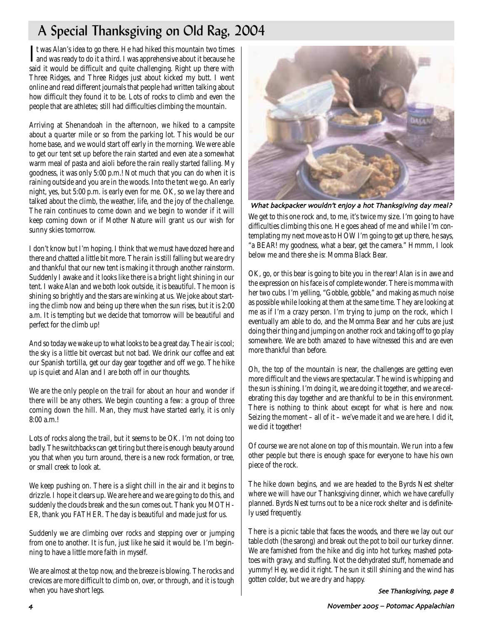# A Special Thanksgiving on Old Rag, 2004

It was Alan's idea to go there. He had hiked this mountain two times<br>and was ready to do it a third. I was apprehensive about it because he<br>ideas to the many contract the cause of **T** t was Alan's idea to go there. He had hiked this mountain two times said it would be difficult and quite challenging. Right up there with Three Ridges, and Three Ridges just about kicked my butt. I went online and read different journals that people had written talking about how difficult they found it to be. Lots of rocks to climb and even the people that are athletes; still had difficulties climbing the mountain.

Arriving at Shenandoah in the afternoon, we hiked to a campsite about a quarter mile or so from the parking lot. This would be our home base, and we would start off early in the morning. We were able to get our tent set up before the rain started and even ate a somewhat warm meal of pasta and aioli before the rain really started falling. My goodness, it was only 5:00 p.m.! Not much that you can do when it is raining outside and you are in the woods. Into the tent we go. An early night, yes, but 5:00 p.m. is early even for me. OK, so we lay there and talked about the climb, the weather, life, and the joy of the challenge. The rain continues to come down and we begin to wonder if it will keep coming down or if Mother Nature will grant us our wish for sunny skies tomorrow.

I don't know but I'm hoping. I think that we must have dozed here and there and chatted a little bit more. The rain is still falling but we are dry and thankful that our new tent is making it through another rainstorm. Suddenly I awake and it looks like there is a bright light shining in our tent. I wake Alan and we both look outside, it is beautiful. The moon is shining so brightly and the stars are winking at us. We joke about starting the climb now and being up there when the sun rises, but it is 2:00 a.m. It is tempting but we decide that tomorrow will be beautiful and perfect for the climb up!

And so today we wake up to what looks to be a great day. The air is cool; the sky is a little bit overcast but not bad. We drink our coffee and eat our Spanish tortilla, get our day gear together and off we go. The hike up is quiet and Alan and I are both off in our thoughts.

We are the only people on the trail for about an hour and wonder if there will be any others. We begin counting a few: a group of three coming down the hill. Man, they must have started early, it is only 8:00 a.m.!

Lots of rocks along the trail, but it seems to be OK. I'm not doing too badly. The switchbacks can get tiring but there is enough beauty around you that when you turn around, there is a new rock formation, or tree, or small creek to look at.

We keep pushing on. There is a slight chill in the air and it begins to drizzle. I hope it clears up. We are here and we are going to do this, and suddenly the clouds break and the sun comes out. Thank you MOTH-ER, thank you FATHER. The day is beautiful and made just for us.

Suddenly we are climbing over rocks and stepping over or jumping from one to another. It is fun, just like he said it would be. I'm beginning to have a little more faith in myself.

We are almost at the top now, and the breeze is blowing. The rocks and crevices are more difficult to climb on, over, or through, and it is tough when you have short legs.



What backpacker wouldn't enjoy a hot Thanksgiving day meal?

We get to this one rock and, to me, it's twice my size. I'm going to have difficulties climbing this one. He goes ahead of me and while I'm contemplating my next move as to HOW I'm going to get up there, he says, "a BEAR! my goodness, what a bear, get the camera." Hmmm, I look below me and there she is: Momma Black Bear.

OK, go, or this bear is going to bite you in the rear! Alan is in awe and the expression on his face is of complete wonder. There is momma with her two cubs. I'm yelling, "Gobble, gobble," and making as much noise as possible while looking at them at the same time. They are looking at me as if I'm a crazy person. I'm trying to jump on the rock, which I eventually am able to do, and the Momma Bear and her cubs are just doing their thing and jumping on another rock and taking off to go play somewhere. We are both amazed to have witnessed this and are even more thankful than before.

Oh, the top of the mountain is near, the challenges are getting even more difficult and the views are spectacular. The wind is whipping and the sun is shining. I'm doing it, we are doing it together, and we are celebrating this day together and are thankful to be in this environment. There is nothing to think about except for what is here and now. Seizing the moment – all of it – we've made it and we are here. I did it, we did it together!

Of course we are not alone on top of this mountain. We run into a few other people but there is enough space for everyone to have his own piece of the rock.

The hike down begins, and we are headed to the Byrds Nest shelter where we will have our Thanksgiving dinner, which we have carefully planned. Byrds Nest turns out to be a nice rock shelter and is definitely used frequently.

There is a picnic table that faces the woods, and there we lay out our table cloth (the sarong) and break out the pot to boil our turkey dinner. We are famished from the hike and dig into hot turkey, mashed potatoes with gravy, and stuffing. Not the dehydrated stuff, homemade and yummy! Hey, we did it right. The sun it still shining and the wind has gotten colder, but we are dry and happy.

See Thanksgiving, page 8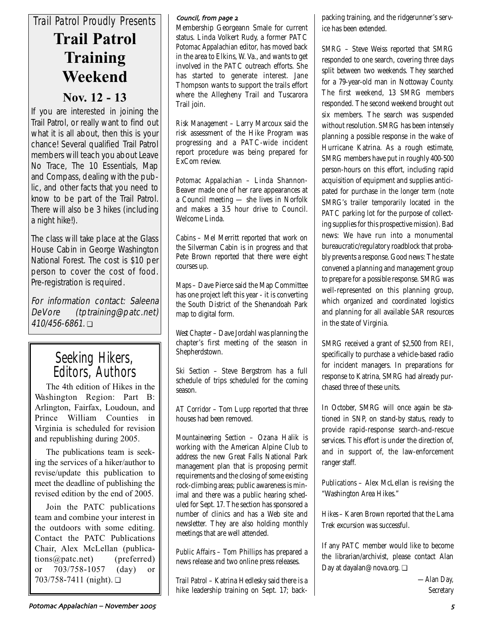# *Trail Patrol Proudly Presents* **Trail Patrol Training Weekend**

# **Nov. 12 - 13**

If you are interested in joining the Trail Patrol, or really want to find out what it is all about, then this is your chance! Several qualified Trail Patrol members will teach you about Leave No Trace, The 10 Essentials, Map and Compass, dealing with the public, and other facts that you need to know to be part of the Trail Patrol. There will also be 3 hikes (including a night hike!).

The class will take place at the Glass House Cabin in George Washington National Forest. The cost is \$10 per person to cover the cost of food. Pre-registration is required.

For information contact: Saleena DeVore (tptraining@patc.net) 410/456-6861. ❏

# Seeking Hikers, Editors, Authors

The 4th edition of Hikes in the Washington Region: Part B: Arlington, Fairfax, Loudoun, and Prince William Counties in Virginia is scheduled for revision and republishing during 2005.

The publications team is seeking the services of a hiker/author to revise/update this publication to meet the deadline of publishing the revised edition by the end of 2005.

Join the PATC publications team and combine your interest in the outdoors with some editing. Contact the PATC Publications Chair, Alex McLellan (publications@patc.net) (preferred) or 703/758-1057 (day) or 703/758-7411 (night). ❏

## Council, from page 2

Membership Georgeann Smale for current status. Linda Volkert Rudy, a former PATC *Potomac Appalachian* editor, has moved back in the area to Elkins, W. Va., and wants to get involved in the PATC outreach efforts. She has started to generate interest. Jane Thompson wants to support the trails effort where the Allegheny Trail and Tuscarora Trail join.

*Risk Management* – Larry Marcoux said the risk assessment of the Hike Program was progressing and a PATC-wide incident report procedure was being prepared for ExCom review.

*Potomac Appalachian* – Linda Shannon-Beaver made one of her rare appearances at a Council meeting — she lives in Norfolk and makes a 3.5 hour drive to Council. Welcome Linda.

*Cabins* – Mel Merritt reported that work on the Silverman Cabin is in progress and that Pete Brown reported that there were eight courses up.

*Maps* – Dave Pierce said the Map Committee has one project left this year - it is converting the South District of the Shenandoah Park map to digital form.

*West Chapter* – Dave Jordahl was planning the chapter's first meeting of the season in Shepherdstown.

*Ski Section* – Steve Bergstrom has a full schedule of trips scheduled for the coming season.

*AT Corridor* – Tom Lupp reported that three houses had been removed.

*Mountaineering Section* – Ozana Halik is working with the American Alpine Club to address the new Great Falls National Park management plan that is proposing permit requirements and the closing of some existing rock-climbing areas; public awareness is minimal and there was a public hearing scheduled for Sept. 17. The section has sponsored a number of clinics and has a Web site and newsletter. They are also holding monthly meetings that are well attended.

*Public Affairs* – Tom Phillips has prepared a news release and two online press releases.

*Trail Patrol* – Katrina Hedlesky said there is a hike leadership training on Sept. 17; backpacking training, and the ridgerunner's service has been extended.

*SMRG* – Steve Weiss reported that SMRG responded to one search, covering three days split between two weekends. They searched for a 79-year-old man in Nottoway County. The first weekend, 13 SMRG members responded. The second weekend brought out six members. The search was suspended without resolution. SMRG has been intensely planning a possible response in the wake of Hurricane Katrina. As a rough estimate, SMRG members have put in roughly 400-500 person-hours on this effort, including rapid acquisition of equipment and supplies anticipated for purchase in the longer term (note SMRG's trailer temporarily located in the PATC parking lot for the purpose of collecting supplies for this prospective mission). Bad news: We have run into a monumental bureaucratic/regulatory roadblock that probably prevents a response. Good news: The state convened a planning and management group to prepare for a possible response. SMRG was well-represented on this planning group, which organized and coordinated logistics and planning for all available SAR resources in the state of Virginia.

SMRG received a grant of \$2,500 from REI, specifically to purchase a vehicle-based radio for incident managers. In preparations for response to Katrina, SMRG had already purchased three of these units.

In October, SMRG will once again be stationed in SNP, on stand-by status, ready to provide rapid-response search-and-rescue services. This effort is under the direction of, and in support of, the law-enforcement ranger staff.

*Publications* – Alex McLellan is revising the "Washington Area Hikes."

*Hikes* – Karen Brown reported that the Lama Trek excursion was successful.

If any PATC member would like to become the librarian/archivist, please contact Alan Day at dayalan@nova.org. ❏

> *—Alan Day, Secretary*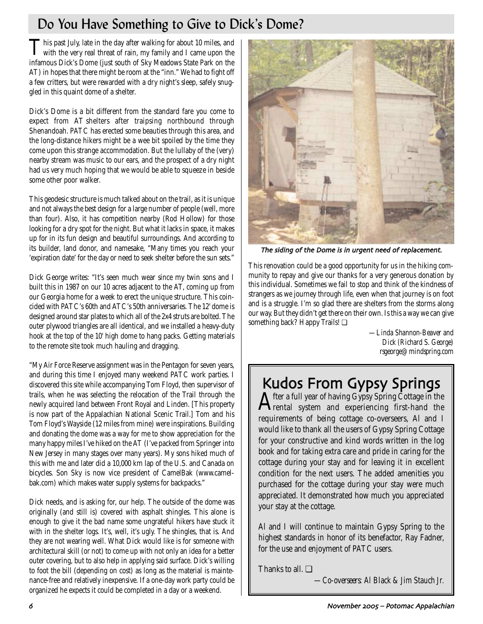# Do You Have Something to Give to Dick's Dome?

This past July, late in the day after walking for about 10 miles, and with the very real threat of rain, my family and I came upon the infamous Dick's Dome (just south of Sky Meadows State Park on the AT) in hopes that there might be room at the "inn." We had to fight off a few critters, but were rewarded with a dry night's sleep, safely snuggled in this quaint dome of a shelter.

Dick's Dome is a bit different from the standard fare you come to expect from AT shelters after traipsing northbound through Shenandoah. PATC has erected some beauties through this area, and the long-distance hikers might be a wee bit spoiled by the time they come upon this strange accommodation. But the lullaby of the (very) nearby stream was music to our ears, and the prospect of a dry night had us very much hoping that we would be able to squeeze in beside some other poor walker.

This geodesic structure is much talked about on the trail, as it is unique and not always the best design for a large number of people (well, more than four). Also, it has competition nearby (Rod Hollow) for those looking for a dry spot for the night. But what it lacks in space, it makes up for in its fun design and beautiful surroundings. And according to its builder, land donor, and namesake, "Many times you reach your 'expiration date' for the day or need to seek shelter before the sun sets."

Dick George writes: "It's seen much wear since my twin sons and I built this in 1987 on our 10 acres adjacent to the AT, coming up from our Georgia home for a week to erect the unique structure. This coincided with PATC's 60th and ATC's 50th anniversaries. The 12' dome is designed around star plates to which all of the 2x4 struts are bolted. The outer plywood triangles are all identical, and we installed a heavy-duty hook at the top of the 10' high dome to hang packs. Getting materials to the remote site took much hauling and dragging.

"My Air Force Reserve assignment was in the Pentagon for seven years, and during this time I enjoyed many weekend PATC work parties. I discovered this site while accompanying Tom Floyd, then supervisor of trails, when he was selecting the relocation of the Trail through the newly acquired land between Front Royal and Linden. [This property is now part of the Appalachian National Scenic Trail.] Tom and his Tom Floyd's Wayside (12 miles from mine) were inspirations. Building and donating the dome was a way for me to show appreciation for the many happy miles I've hiked on the AT (I've packed from Springer into New Jersey in many stages over many years). My sons hiked much of this with me and later did a 10,000 km lap of the U.S. and Canada on bicycles. Son Sky is now vice president of CamelBak (www.camelbak.com) which makes water supply systems for backpacks."

Dick needs, and is asking for, our help. The outside of the dome was originally (and still is) covered with asphalt shingles. This alone is enough to give it the bad name some ungrateful hikers have stuck it with in the shelter logs. It's, well, it's ugly. The shingles, that is. And they are not wearing well. What Dick would like is for someone with architectural skill (or not) to come up with not only an idea for a better outer covering, but to also help in applying said surface. Dick's willing to foot the bill (depending on cost) as long as the material is maintenance-free and relatively inexpensive. If a one-day work party could be organized he expects it could be completed in a day or a weekend.



The siding of the Dome is in urgent need of replacement.

This renovation could be a good opportunity for us in the hiking community to repay and give our thanks for a very generous donation by this individual. Sometimes we fail to stop and think of the kindness of strangers as we journey through life, even when that journey is on foot and is a struggle. I'm so glad there are shelters from the storms along our way. But they didn't get there on their own. Is this a way we can give something back? Happy Trails! ❏

> *—Linda Shannon-Beaver and Dick (Richard S. George) rsgeorge@mindspring.com*

# Kudos From Gypsy Springs<br>A fter a full year of having Gypsy Spring Cottage in the

 ${\bf A}$ fter a full year of having Gypsy Spring Cottage in the  ${\bf A}$ rental  $\;$  system  $\;$  and  $\;$  experiencing  $\;$  first-hand  $\;$  the requirements of being cottage co-overseers, Al and I would like to thank all the users of Gypsy Spring Cottage for your constructive and kind words written in the log book and for taking extra care and pride in caring for the cottage during your stay and for leaving it in excellent condition for the next users. The added amenities you purchased for the cottage during your stay were much appreciated. It demonstrated how much you appreciated your stay at the cottage.

Al and I will continue to maintain Gypsy Spring to the highest standards in honor of its benefactor, Ray Fadner, for the use and enjoyment of PATC users.

Thanks to all. ❏

*—Co-overseers: Al Black & Jim Stauch Jr.*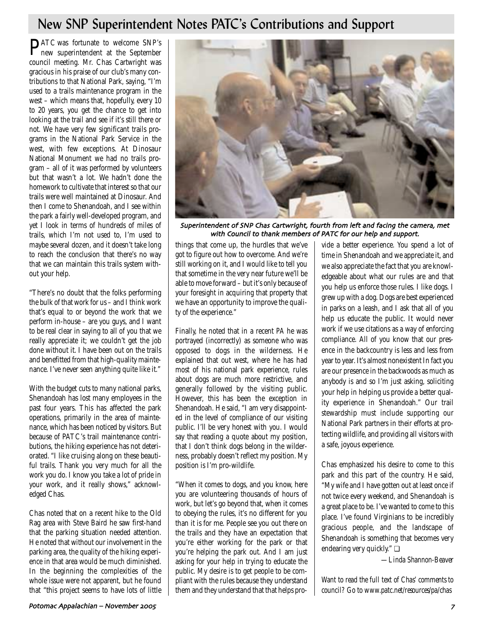# New SNP Superintendent Notes PATC's Contributions and Support

PATC was fortunate to welcome SNP's new superintendent at the September council meeting. Mr. Chas Cartwright was gracious in his praise of our club's many contributions to that National Park, saying, "I'm used to a trails maintenance program in the west – which means that, hopefully, every 10 to 20 years, you get the chance to get into looking at the trail and see if it's still there or not. We have very few significant trails programs in the National Park Service in the west, with few exceptions. At Dinosaur National Monument we had no trails program – all of it was performed by volunteers but that wasn't a lot. We hadn't done the homework to cultivate that interest so that our trails were well maintained at Dinosaur. And then I come to Shenandoah, and I see within the park a fairly well-developed program, and yet I look in terms of hundreds of miles of trails, which I'm not used to, I'm used to maybe several dozen, and it doesn't take long to reach the conclusion that there's no way that we can maintain this trails system without your help.

"There's no doubt that the folks performing the bulk of that work for us – and I think work that's equal to or beyond the work that we perform in-house – are you guys, and I want to be real clear in saying to all of you that we really appreciate it; we couldn't get the job done without it. I have been out on the trails and benefitted from that high-quality maintenance. I've never seen anything quite like it."

With the budget cuts to many national parks, Shenandoah has lost many employees in the past four years. This has affected the park operations, primarily in the area of maintenance, which has been noticed by visitors. But because of PATC's trail maintenance contributions, the hiking experience has not deteriorated. "I like cruising along on these beautiful trails. Thank you very much for all the work you do. I know you take a lot of pride in your work, and it really shows," acknowledged Chas.

Chas noted that on a recent hike to the Old Rag area with Steve Baird he saw first-hand that the parking situation needed attention. He noted that without our involvement in the parking area, the quality of the hiking experience in that area would be much diminished. In the beginning the complexities of the whole issue were not apparent, but he found that "this project seems to have lots of little



Superintendent of SNP Chas Cartwright, fourth from left and facing the camera, met with Council to thank members of PATC for our help and support.

things that come up, the hurdles that we've got to figure out how to overcome. And we're still working on it, and I would like to tell you that sometime in the very near future we'll be able to move forward – but it's only because of your foresight in acquiring that property that we have an opportunity to improve the quality of the experience."

Finally, he noted that in a recent *PA* he was portrayed (incorrectly) as someone who was opposed to dogs in the wilderness. He explained that out west, where he has had most of his national park experience, rules about dogs are much more restrictive, and generally followed by the visiting public. However, this has been the exception in Shenandoah. He said, "I am very disappointed in the level of compliance of our visiting public. I'll be very honest with you. I would say that reading a quote about my position, that I don't think dogs belong in the wilderness, probably doesn't reflect my position. My position is I'm pro-wildlife.

"When it comes to dogs, and you know, here you are volunteering thousands of hours of work, but let's go beyond that, when it comes to obeying the rules, it's no different for you than it is for me. People see you out there on the trails and they have an expectation that you're either working for the park or that you're helping the park out. And I am just asking for your help in trying to educate the public. My desire is to get people to be compliant with the rules because they understand them and they understand that that helps provide a better experience. You spend a lot of time in Shenandoah and we appreciate it, and we also appreciate the fact that you are knowledgeable about what our rules are and that you help us enforce those rules. I like dogs. I grew up with a dog. Dogs are best experienced in parks on a leash, and I ask that all of you help us educate the public. It would never work if we use citations as a way of enforcing compliance. All of you know that our presence in the backcountry is less and less from year to year. It's almost nonexistent In fact you are our presence in the backwoods as much as anybody is and so I'm just asking, soliciting your help in helping us provide a better quality experience in Shenandoah." Our trail stewardship must include supporting our National Park partners in their efforts at protecting wildlife, and providing all visitors with a safe, joyous experience.

Chas emphasized his desire to come to this park and this part of the country. He said, "My wife and I have gotten out at least once if not twice every weekend, and Shenandoah is a great place to be. I've wanted to come to this place. I've found Virginians to be incredibly gracious people, and the landscape of Shenandoah is something that becomes very endearing very quickly." ❏

*—Linda Shannon-Beaver*

*Want to read the full text of Chas' comments to council? Go to www.patc.net/resources/pa/chas*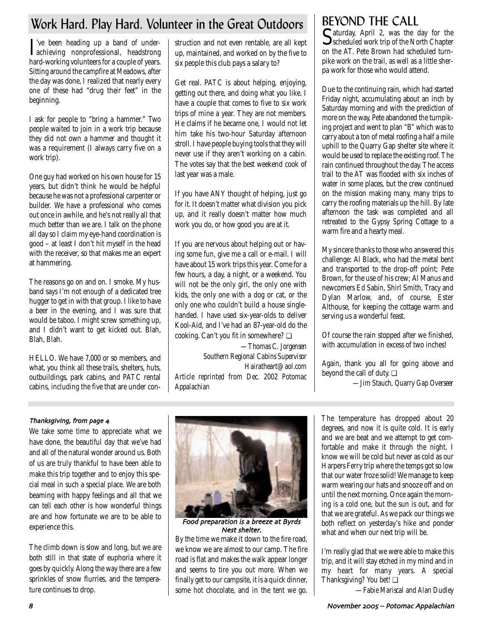# Work Hard. Play Hard. Volunteer in the Great Outdoors

I achieving nonprofessional, headstrong 've been heading up a band of underhard-working volunteers for a couple of years. Sitting around the campfire at Meadows, after the day was done, I realized that nearly every one of these had "drug their feet" in the beginning.

I ask for people to "bring a hammer." Two people waited to join in a work trip because they did not own a hammer and thought it was a requirement (I always carry five on a work trip).

One guy had worked on his own house for 15 years, but didn't think he would be helpful because he was not a professional carpenter or builder. We have a professional who comes out once in awhile, and he's not really all that much better than we are. I talk on the phone all day so I claim my eye-hand coordination is good – at least I don't hit myself in the head with the receiver, so that makes me an expert at hammering.

The reasons go on and on. I smoke. My husband says I'm not enough of a dedicated tree hugger to get in with that group. I like to have a beer in the evening, and I was sure that would be taboo. I might screw something up, and I didn't want to get kicked out. Blah, Blah, Blah.

HELLO. We have 7,000 or so members, and what, you think all these trails, shelters, huts, outbuildings, park cabins, and PATC rental cabins, including the five that are under con-

struction and not even rentable, are all kept up, maintained, and worked on by the five to six people this club pays a salary to?

Get real. PATC is about helping, enjoying, getting out there, and doing what you like. I have a couple that comes to five to six work trips of mine a year. They are not members. He claims if he became one, I would not let him take his two-hour Saturday afternoon stroll. I have people buying tools that they will never use if they aren't working on a cabin. The votes say that the best weekend cook of last year was a male.

If you have ANY thought of helping, just go for it. It doesn't matter what division you pick up, and it really doesn't matter how much work you do, or how good you are at it.

If you are nervous about helping out or having some fun, give me a call or e-mail. I will have about 15 work trips this year. Come for a few hours, a day, a night, or a weekend. You will not be the only girl, the only one with kids, the only one with a dog or cat, or the only one who couldn't build a house singlehanded. I have used six-year-olds to deliver Kool-Aid, and I've had an 87-year-old do the cooking. Can't you fit in somewhere? ❏

*—Thomas C. Jorgensen Southern Regional Cabins Supervisor Hairatheart@aol.com Article reprinted from Dec. 2002 Potomac Appalachian*

BEYOND THE CALL<br>
Caturday, April 2, was the day for the Saturday, April 2, was the day for the<br>Scheduled work trip of the North Chapter on the AT. Pete Brown had scheduled turnpike work on the trail, as well as a little sherpa work for those who would attend.

Due to the continuing rain, which had started Friday night, accumulating about an inch by Saturday morning and with the prediction of more on the way, Pete abandoned the turnpiking project and went to plan "B" which was to carry about a ton of metal roofing a half a mile uphill to the Quarry Gap shelter site where it would be used to replace the existing roof. The rain continued throughout the day. The access trail to the AT was flooded with six inches of water in some places, but the crew continued on the mission making many, many trips to carry the roofing materials up the hill. By late afternoon the task was completed and all retreated to the Gypsy Spring Cottage to a warm fire and a hearty meal.

My sincere thanks to those who answered this challenge: Al Black, who had the metal bent and transported to the drop-off point; Pete Brown, for the use of his crew; Al Manus and newcomers Ed Sabin, Shirl Smith, Tracy and Dylan Marlow, and, of course, Ester Althouse, for keeping the cottage warm and serving us a wonderful feast.

Of course the rain stopped after we finished, with accumulation in excess of two inches!

Again, thank you all for going above and beyond the call of duty. ❏

*—Jim Stauch, Quarry Gap Overseer* 

# Thanksgiving, from page 4

We take some time to appreciate what we have done, the beautiful day that we've had and all of the natural wonder around us. Both of us are truly thankful to have been able to make this trip together and to enjoy this special meal in such a special place. We are both beaming with happy feelings and all that we can tell each other is how wonderful things are and how fortunate we are to be able to experience this.

The climb down is slow and long, but we are both still in that state of euphoria where it goes by quickly. Along the way there are a few sprinkles of snow flurries, and the temperature continues to drop.



Food preparation is a breeze at Byrds Nest shelter

By the time we make it down to the fire road, we know we are almost to our camp. The fire road is flat and makes the walk appear longer and seems to tire you out more. When we finally get to our campsite, it is a quick dinner, some hot chocolate, and in the tent we go. The temperature has dropped about 20 degrees, and now it is quite cold. It is early and we are beat and we attempt to get comfortable and make it through the night. I know we will be cold but never as cold as our Harpers Ferry trip where the temps got so low that our water froze solid! We manage to keep warm wearing our hats and snooze off and on until the next morning. Once again the morning is a cold one, but the sun is out, and for that we are grateful. As we pack our things we both reflect on yesterday's hike and ponder what and when our next trip will be.

I'm really glad that we were able to make this trip, and it will stay etched in my mind and in my heart for many years. A special Thanksgiving? You bet! □

*—Fabie Mariscal and Alan Dudley*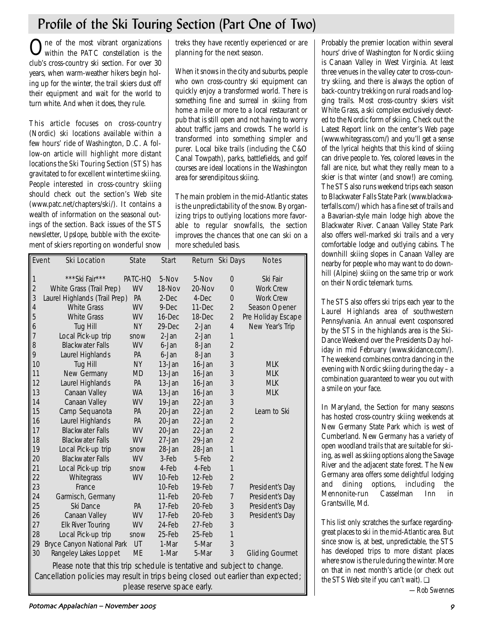# Profile of the Ski Touring Section (Part One of Two)

One of the most vibrant organizations within the PATC constellation is the club's cross-country ski section. For over 30 years, when warm-weather hikers begin holing up for the winter, the trail skiers dust off their equipment and wait for the world to turn white. And when it does, they rule.

This article focuses on cross-country (Nordic) ski locations available within a few hours' ride of Washington, D.C. A follow-on article will highlight more distant locations the Ski Touring Section (STS) has gravitated to for excellent wintertime skiing. People interested in cross-country skiing should check out the section's Web site (www.patc.net/chapters/ski/). It contains a wealth of information on the seasonal outings of the section. Back issues of the STS newsletter, *Upslope*, bubble with the excitement of skiers reporting on wonderful snow treks they have recently experienced or are planning for the next season.

When it snows in the city and suburbs, people who own cross-country ski equipment can quickly enjoy a transformed world. There is something fine and surreal in skiing from home a mile or more to a local restaurant or pub that is still open and not having to worry about traffic jams and crowds. The world is transformed into something simpler and purer. Local bike trails (including the C&O Canal Towpath), parks, battlefields, and golf courses are ideal locations in the Washington area for serendipitous skiing.

The main problem in the mid-Atlantic states is the unpredictability of the snow. By organizing trips to outlying locations more favorable to regular snowfalls, the section improves the chances that one can ski on a more scheduled basis.

| Event                   | <b>Ski Location</b>                                                     | <b>State</b> | <b>Start</b> |           | Return Ski Days | <b>Notes</b>           |  |  |  |
|-------------------------|-------------------------------------------------------------------------|--------------|--------------|-----------|-----------------|------------------------|--|--|--|
|                         |                                                                         |              |              |           |                 |                        |  |  |  |
| $\overline{\mathbf{1}}$ | ***Ski Fair***                                                          | PATC-HQ      | 5-Nov        | 5-Nov     | 0               | Ski Fair               |  |  |  |
| $\overline{2}$          | White Grass (Trail Prep)                                                | WV           | 18-Nov       | 20-Nov    | $\Omega$        | <b>Work Crew</b>       |  |  |  |
| 3                       | Laurel Highlands (Trail Prep)                                           | PA           | 2-Dec        | 4-Dec     | 0               | <b>Work Crew</b>       |  |  |  |
| $\overline{4}$          | <b>White Grass</b>                                                      | <b>WV</b>    | 9-Dec        | 11-Dec    | $\overline{2}$  | Season Opener          |  |  |  |
| 5                       | <b>White Grass</b>                                                      | <b>WV</b>    | 16-Dec       | 18-Dec    | $\overline{2}$  | Pre Holiday Escape     |  |  |  |
| 6                       | Tug Hill                                                                | <b>NY</b>    | 29-Dec       | 2-Jan     | $\overline{4}$  | New Year's Trip        |  |  |  |
| 7                       | Local Pick-up trip                                                      | snow         | 2-Jan        | 2-Jan     | 1               |                        |  |  |  |
| 8                       | <b>Blackwater Falls</b>                                                 | WV           | 6-Jan        | 8-Jan     | $\overline{2}$  |                        |  |  |  |
| 9                       | Laurel Highlands                                                        | <b>PA</b>    | 6-Jan        | 8-Jan     | 3               |                        |  |  |  |
| 10                      | Tug Hill                                                                | <b>NY</b>    | 13-Jan       | 16-Jan    | 3               | <b>MLK</b>             |  |  |  |
| 11                      | New Germany                                                             | <b>MD</b>    | 13-Jan       | 16-Jan    | 3               | <b>MLK</b>             |  |  |  |
| 12                      | Laurel Highlands                                                        | PA           | 13-Jan       | 16-Jan    | 3               | <b>MLK</b>             |  |  |  |
| 13                      | Canaan Valley                                                           | <b>WA</b>    | 13-Jan       | 16-Jan    | 3               | <b>MLK</b>             |  |  |  |
| 14                      | Canaan Valley                                                           | WV           | 19-Jan       | 22-Jan    | 3               |                        |  |  |  |
| 15                      | Camp Sequanota                                                          | PA           | 20-Jan       | 22-Jan    | $\overline{2}$  | Learn to Ski           |  |  |  |
| 16                      | Laurel Highlands                                                        | PA           | 20-Jan       | 22-Jan    | $\overline{2}$  |                        |  |  |  |
| 17                      | <b>Blackwater Falls</b>                                                 | WV           | 20-Jan       | $22$ -Jan | $\overline{2}$  |                        |  |  |  |
| 18                      | <b>Blackwater Falls</b>                                                 | WV           | 27-Jan       | 29-Jan    | $\overline{2}$  |                        |  |  |  |
| 19                      | Local Pick-up trip                                                      | snow         | 28-Jan       | 28-Jan    | 1               |                        |  |  |  |
| 20                      | <b>Blackwater Falls</b>                                                 | <b>WV</b>    | 3-Feb        | 5-Feb     | $\overline{2}$  |                        |  |  |  |
| 21                      | Local Pick-up trip                                                      | snow         | 4-Feb        | 4-Feb     | 1               |                        |  |  |  |
| 22                      | Whitegrass                                                              | WV           | 10-Feb       | 12-Feb    | $\overline{2}$  |                        |  |  |  |
| 23                      | France                                                                  |              | 10-Feb       | 19-Feb    | $\overline{7}$  | President's Day        |  |  |  |
| 24                      | Garmisch, Germany                                                       |              | 11-Feb       | 20-Feb    | 7               | President's Day        |  |  |  |
| 25                      | Ski Dance                                                               | PA           | 17-Feb       | 20-Feb    | 3               | President's Day        |  |  |  |
| 26                      | Canaan Valley                                                           | WV           | 17-Feb       | 20-Feb    | 3               | President's Day        |  |  |  |
| 27                      | <b>Elk River Touring</b>                                                | WV           | 24-Feb       | 27-Feb    | 3               |                        |  |  |  |
| 28                      | Local Pick-up trip                                                      | snow         | 25-Feb       | 25-Feb    | 1               |                        |  |  |  |
| 29                      | Bryce Canyon National Park                                              | UT           | 1-Mar        | 5-Mar     | 3               |                        |  |  |  |
| 30                      | Rangeley Lakes Loppet                                                   | ME           | 1-Mar        | 5-Mar     | 3               | <b>Gliding Gourmet</b> |  |  |  |
|                         | Please note that this trip schedule is tentative and subject to change. |              |              |           |                 |                        |  |  |  |

Cancellation policies may result in trips being closed out earlier than expected; please reserve space early.

Probably the premier location within several hours' drive of Washington for Nordic skiing is Canaan Valley in West Virginia. At least three venues in the valley cater to cross-country skiing, and there is always the option of back-country trekking on rural roads and logging trails. Most cross-country skiers visit White Grass, a ski complex exclusively devoted to the Nordic form of skiing. Check out the Latest Report link on the center's Web page (www.whitegrass.com/) and you'll get a sense of the lyrical heights that this kind of skiing can drive people to. Yes, colored leaves in the fall are nice, but what they really mean to a skier is that winter (and snow!) are coming. The STS also runs weekend trips each season to Blackwater Falls State Park (www.blackwaterfalls.com/) which has a fine set of trails and a Bavarian-style main lodge high above the Blackwater River. Canaan Valley State Park also offers well-marked ski trails and a very comfortable lodge and outlying cabins. The downhill skiing slopes in Canaan Valley are nearby for people who may want to do downhill (Alpine) skiing on the same trip or work on their Nordic telemark turns.

The STS also offers ski trips each year to the Laurel Highlands area of southwestern Pennsylvania. An annual event cosponsored by the STS in the highlands area is the Ski-Dance Weekend over the Presidents Day holiday in mid February (www.skidance.com/). The weekend combines contra dancing in the evening with Nordic skiing during the day – a combination guaranteed to wear you out with a smile on your face.

In Maryland, the Section for many seasons has hosted cross-country skiing weekends at New Germany State Park which is west of Cumberland. New Germany has a variety of open woodland trails that are suitable for skiing, as well as skiing options along the Savage River and the adjacent state forest. The New Germany area offers some delightful lodging and dining options, including the Mennonite-run Casselman Inn in Grantsville, Md.

This list only scratches the surface regardinggreat places to ski in the mid-Atlantic area. But since snow is, at best, unpredictable, the STS has developed trips to more distant places where snow is the rule during the winter. More on that in next month's article (or check out the STS Web site if you can't wait). ❏

*—Rob Swennes*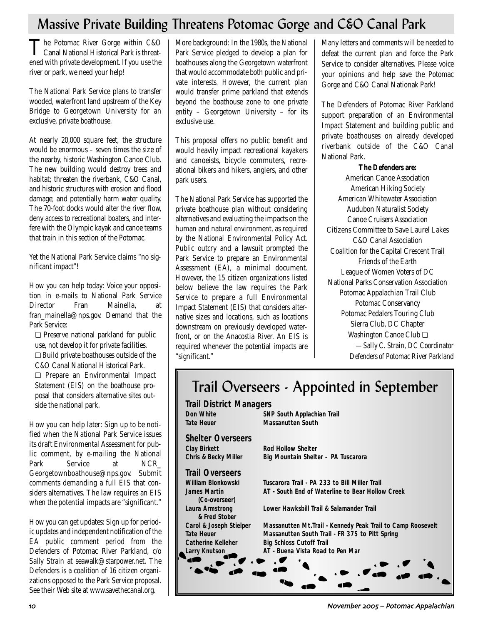# Massive Private Building Threatens Potomac Gorge and C&O Canal Park

The Potomac River Gorge within C&O<br>Canal National Historical Park is threatened with private development. If you use the river or park, we need your help!

The National Park Service plans to transfer wooded, waterfront land upstream of the Key Bridge to Georgetown University for an exclusive, private boathouse.

At nearly 20,000 square feet, the structure would be enormous – seven times the size of the nearby, historic Washington Canoe Club. The new building would destroy trees and habitat; threaten the riverbank, C&O Canal, and historic structures with erosion and flood damage; and potentially harm water quality. The 70-foot docks would alter the river flow, deny access to recreational boaters, and interfere with the Olympic kayak and canoe teams that train in this section of the Potomac.

Yet the National Park Service claims "no significant impact"!

How you can help today: Voice your opposition in e-mails to National Park Service Director Fran Mainella, at fran\_mainella@nps.gov. Demand that the Park Service:

❏ Preserve national parkland for public use, not develop it for private facilities. ❏ Build private boathouses outside of the C&O Canal National Historical Park. ❏ Prepare an Environmental Impact

Statement (EIS) on the boathouse proposal that considers alternative sites outside the national park.

How you can help later: Sign up to be notified when the National Park Service issues its draft Environmental Assessment for public comment, by e-mailing the National Park Service at NCR Georgetownboathouse@nps.gov. Submit comments demanding a full EIS that considers alternatives. The law requires an EIS when the potential impacts are "significant."

How you can get updates: Sign up for periodic updates and independent notification of the EA public comment period from the Defenders of Potomac River Parkland, c/o Sally Strain at seawalk@starpower.net. The Defenders is a coalition of 16 citizen organizations opposed to the Park Service proposal. See their Web site at www.savethecanal.org.

More background: In the 1980s, the National Park Service pledged to develop a plan for boathouses along the Georgetown waterfront that would accommodate both public and private interests. However, the current plan would transfer prime parkland that extends beyond the boathouse zone to one private entity – Georgetown University – for its exclusive use.

This proposal offers no public benefit and would heavily impact recreational kayakers and canoeists, bicycle commuters, recreational bikers and hikers, anglers, and other park users.

The National Park Service has supported the private boathouse plan without considering alternatives and evaluating the impacts on the human and natural environment, as required by the National Environmental Policy Act. Public outcry and a lawsuit prompted the Park Service to prepare an Environmental Assessment (EA), a minimal document. However, the 15 citizen organizations listed below believe the law requires the Park Service to prepare a full Environmental Impact Statement (EIS) that considers alternative sizes and locations, such as locations downstream on previously developed waterfront, or on the Anacostia River. An EIS is required whenever the potential impacts are "significant."

Many letters and comments will be needed to defeat the current plan and force the Park Service to consider alternatives. Please voice your opinions and help save the Potomac Gorge and C&O Canal Nationak Park!

The Defenders of Potomac River Parkland support preparation of an Environmental Impact Statement and building public and private boathouses on already developed riverbank outside of the C&O Canal National Park.

**The Defenders are:** American Canoe Association American Hiking Society American Whitewater Association Audubon Naturalist Society Canoe Cruisers Association Citizens Committee to Save Laurel Lakes C&O Canal Association Coalition for the Capital Crescent Trail Friends of the Earth League of Women Voters of DC National Parks Conservation Association Potomac Appalachian Trail Club Potomac Conservancy Potomac Pedalers Touring Club Sierra Club, DC Chapter Washington Canoe Club ❏ *—Sally C. Strain, DC Coordinator Defenders of Potomac River Parkland*

# Trail Overseers - Appointed in September

| <b>Trail District Managers</b>       |                                                             |
|--------------------------------------|-------------------------------------------------------------|
| <b>Don White</b>                     | SNP South Applachian Trail                                  |
| Tate Heuer                           | <b>Massanutten South</b>                                    |
| <b>Shelter Overseers</b>             |                                                             |
| <b>Clay Birkett</b>                  | Rod Hollow Shelter                                          |
| <b>Chris &amp; Becky Miller</b>      | Big Mountain Shelter - PA Tuscarora                         |
| <b>Trail Overseers</b>               |                                                             |
| William Blonkowski                   | Tuscarora Trail - PA 233 to Bill Miller Trail               |
| <b>James Martin</b><br>(Co-overseer) | AT - South End of Waterline to Bear Hollow Creek            |
| Laura Armstrong<br>& Fred Stober     | Lower Hawksbill Trail & Salamander Trail                    |
| <b>Carol &amp; Joseph Stielper</b>   | Massanutten Mt.Trail - Kennedy Peak Trail to Camp Roosevelt |
| <b>Tate Heuer</b>                    | Massanutten South Trail - FR 375 to Pitt Spring             |
| <b>Catherine Kelleher</b>            | <b>Big Schloss Cutoff Trail</b>                             |
| Larry Knutson                        | AT - Buena Vista Road to Pen Mar                            |
|                                      |                                                             |
|                                      |                                                             |
|                                      |                                                             |
|                                      |                                                             |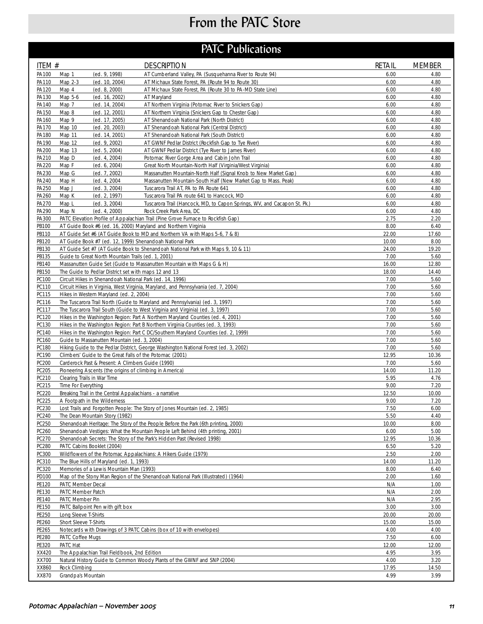# From the PATC Store

# **PATC Publications**

| ITEM #         | <b>DESCRIPTION</b>                                                                                               |                                                                                                            | <b>RETAIL</b> | <b>MEMBER</b> |
|----------------|------------------------------------------------------------------------------------------------------------------|------------------------------------------------------------------------------------------------------------|---------------|---------------|
| PA100          | (ed. 9, 1998)<br>Map 1                                                                                           | AT Cumberland Valley, PA (Susquehanna River to Route 94)                                                   | 6.00          | 4.80          |
| PA110          | Map 2-3<br>(ed. 10, 2004)                                                                                        | AT Michaux State Forest, PA (Route 94 to Route 30)                                                         | 6.00          | 4.80          |
| PA120          | Map 4<br>(ed. 8, 2000)                                                                                           | AT Michaux State Forest, PA (Route 30 to PA-MD State Line)                                                 | 6.00          | 4.80          |
| PA130          | Map 5-6<br>(ed. 16, 2002)<br>AT Maryland                                                                         |                                                                                                            | 6.00          | 4.80          |
| PA140<br>PA150 | Map 7<br>(ed. 14, 2004)<br>Map 8<br>(ed. 12, 2001)                                                               | AT Northern Virginia (Potomac River to Snickers Gap)<br>AT Northern Virginia (Snickers Gap to Chester Gap) | 6.00<br>6.00  | 4.80<br>4.80  |
| PA160          | Map 9<br>(ed. 17, 2005)                                                                                          | AT Shenandoah National Park (North District)                                                               | 6.00          | 4.80          |
| PA170          | Map 10<br>(ed. 20, 2003)                                                                                         | AT Shenandoah National Park (Central District)                                                             | 6.00          | 4.80          |
| PA180          | Map 11<br>(ed. 14, 2001)                                                                                         | AT Shenandoah National Park (South District)                                                               | 6.00          | 4.80          |
| PA190          | Map 12<br>(ed. 9, 2002)                                                                                          | AT GWNF Pedlar District (Rockfish Gap to Tye River)                                                        | 6.00          | 4.80          |
| PA200          | Map 13<br>(ed. 5, 2004)                                                                                          | AT GWNF Pedlar District (Tye River to James River)                                                         | 6.00          | 4.80          |
| PA210          | Map D<br>(ed. 4, 2004)                                                                                           | Potomac River Gorge Area and Cabin John Trail                                                              | 6.00          | 4.80          |
| PA220          | Map F<br>(ed. 6, 2004)                                                                                           | Great North Mountain-North Half (Virginia/West Virginia)                                                   | 6.00          | 4.80          |
| PA230          | Map G<br>(ed. 7, 2002)                                                                                           | Massanutten Mountain-North Half (Signal Knob to New Market Gap)                                            | 6.00          | 4.80          |
| PA240<br>PA250 | Map H<br>(ed. 4, 2004)<br>Map J<br>(ed. 3, 2004)                                                                 | Massanutten Mountain-South Half (New Market Gap to Mass. Peak)<br>Tuscarora Trail AT, PA to PA Route 641   | 6.00<br>6.00  | 4.80<br>4.80  |
| PA260          | Map K<br>(ed. 2, 1997)                                                                                           | Tuscarora Trail PA route 641 to Hancock, MD                                                                | 6.00          | 4.80          |
| PA270          | Map L<br>(ed. 3, 2004)                                                                                           | Tuscarora Trail (Hancock, MD, to Capon Springs, WV, and Cacapon St. Pk.)                                   | 6.00          | 4.80          |
| PA290          | Map N<br>(ed. 4, 2000)                                                                                           | Rock Creek Park Area, DC                                                                                   | 6.00          | 4.80          |
| PA300          | PATC Elevation Profile of Appalachian Trail (Pine Grove Furnace to Rockfish Gap)                                 |                                                                                                            | 2.75          | 2.20          |
| PB100          | AT Guide Book #6 (ed. 16, 2000) Maryland and Northern Virginia                                                   |                                                                                                            | 8.00          | 6.40          |
| PB110          | AT Guide Set #6 (AT Guide Book to MD and Northern VA with Maps 5-6, 7 & 8)                                       |                                                                                                            | 22.00         | 17.60         |
| PB120          | AT Guide Book #7 (ed. 12, 1999) Shenandoah National Park                                                         |                                                                                                            | 10.00         | 8.00          |
| PB130          | AT Guide Set #7 (AT Guide Book to Shenandoah National Park with Maps 9, 10 & 11)                                 |                                                                                                            | 24.00         | 19.20         |
| PB135          | Guide to Great North Mountain Trails (ed. 1, 2001)                                                               |                                                                                                            | 7.00          | 5.60          |
| PB140          | Massanutten Guide Set (Guide to Massanutten Mountain with Maps G & H)                                            |                                                                                                            | 16.00         | 12.80         |
| PB150<br>PC100 | The Guide to Pedlar District set with maps 12 and 13<br>Circuit Hikes in Shenandoah National Park (ed. 14, 1996) |                                                                                                            | 18.00<br>7.00 | 14.40<br>5.60 |
| PC110          | Circuit Hikes in Virginia, West Virginia, Maryland, and Pennsylvania (ed. 7, 2004)                               |                                                                                                            | 7.00          | 5.60          |
| PC115          | Hikes in Western Maryland (ed. 2, 2004)                                                                          |                                                                                                            | 7.00          | 5.60          |
| PC116          | The Tuscarora Trail North (Guide to Maryland and Pennsylvania) (ed. 3, 1997)                                     |                                                                                                            | 7.00          | 5.60          |
| PC117          | The Tuscarora Trail South (Guide to West Virginia and Virginia) (ed. 3, 1997)                                    |                                                                                                            | 7.00          | 5.60          |
| PC120          | Hikes in the Washington Region: Part A Northern Maryland Counties (ed. 4, 2001)                                  |                                                                                                            | 7.00          | 5.60          |
| PC130          | Hikes in the Washington Region: Part B Northern Virginia Counties (ed. 3, 1993)                                  |                                                                                                            | 7.00          | 5.60          |
| PC140          | Hikes in the Washington Region: Part C DC/Southern Maryland Counties (ed. 2, 1999)                               |                                                                                                            | 7.00          | 5.60          |
| PC160          | Guide to Massanutten Mountain (ed. 3, 2004)                                                                      |                                                                                                            | 7.00          | 5.60          |
| PC180          | Hiking Guide to the Pedlar District, George Washington National Forest (ed. 3, 2002)                             |                                                                                                            | 7.00          | 5.60          |
| PC190<br>PC200 | Climbers' Guide to the Great Falls of the Potomac (2001)<br>Carderock Past & Present: A Climbers Guide (1990)    |                                                                                                            | 12.95<br>7.00 | 10.36<br>5.60 |
| PC205          | Pioneering Ascents (the origins of climbing in America)                                                          |                                                                                                            | 14.00         | 11.20         |
| PC210          | Clearing Trails in War Time                                                                                      |                                                                                                            | 5.95          | 4.76          |
| PC215          | Time For Everything                                                                                              |                                                                                                            | 9.00          | 7.20          |
| <b>PC220</b>   | Breaking Trail in the Central Appalachians - a narrative                                                         |                                                                                                            | 12.50         | 10.00         |
| PC225          | A Footpath in the Wilderness                                                                                     |                                                                                                            | 9.00          | 7.20          |
| PC230          | Lost Trails and Forgotten People: The Story of Jones Mountain (ed. 2, 1985)                                      |                                                                                                            | 7.50          | 6.00          |
| PC240          | The Dean Mountain Story (1982)                                                                                   |                                                                                                            | 5.50          | 4.40          |
| PC250          | Shenandoah Heritage: The Story of the People Before the Park (6th printing, 2000)                                |                                                                                                            | 10.00         | 8.00          |
| PC260          | Shenandoah Vestiges: What the Mountain People Left Behind (4th printing, 2001)                                   |                                                                                                            | 6.00          | 5.00          |
| PC270<br>PC280 | Shenandoah Secrets: The Story of the Park's Hidden Past (Revised 1998)<br>PATC Cabins Booklet (2004)             |                                                                                                            | 12.95<br>6.50 | 10.36<br>5.20 |
| PC300          | Wildflowers of the Potomac Appalachians: A Hikers Guide (1979)                                                   |                                                                                                            | 2.50          | 2.00          |
| PC310          | The Blue Hills of Maryland (ed. 1, 1993)                                                                         |                                                                                                            | 14.00         | 11.20         |
| PC320          | Memories of a Lewis Mountain Man (1993)                                                                          |                                                                                                            | 8.00          | 6.40          |
| PD100          | Map of the Stony Man Region of the Shenandoah National Park (Illustrated) (1964)                                 |                                                                                                            | 2.00          | 1.60          |
| PE120          | PATC Member Decal                                                                                                |                                                                                                            | N/A           | 1.00          |
| PE130          | PATC Member Patch                                                                                                |                                                                                                            | N/A           | 2.00          |
| PE140          | PATC Member Pin                                                                                                  |                                                                                                            | N/A           | 2.95          |
| PE150          | PATC Ballpoint Pen with gift box                                                                                 |                                                                                                            | 3.00          | 3.00          |
| PE250          | Long Sleeve T-Shirts                                                                                             |                                                                                                            | 20.00         | 20.00         |
| PE260          | Short Sleeve T-Shirts                                                                                            |                                                                                                            | 15.00         | 15.00         |
| PE265<br>PE280 | Notecards with Drawings of 3 PATC Cabins (box of 10 with envelopes)<br>PATC Coffee Mugs                          |                                                                                                            | 4.00<br>7.50  | 4.00<br>6.00  |
| PE320          | PATC Hat                                                                                                         |                                                                                                            | 12.00         | 12.00         |
| XX420          | The Appalachian Trail Fieldbook, 2nd Edition                                                                     |                                                                                                            | 4.95          | 3.95          |
| XX700          | Natural History Guide to Common Woody Plants of the GWNF and SNP (2004)                                          |                                                                                                            | 4.00          | 3.20          |
| XX860          | Rock Climbing                                                                                                    |                                                                                                            | 17.95         | 14.50         |
| XX870          | Grandpa's Mountain                                                                                               |                                                                                                            | 4.99          | 3.99          |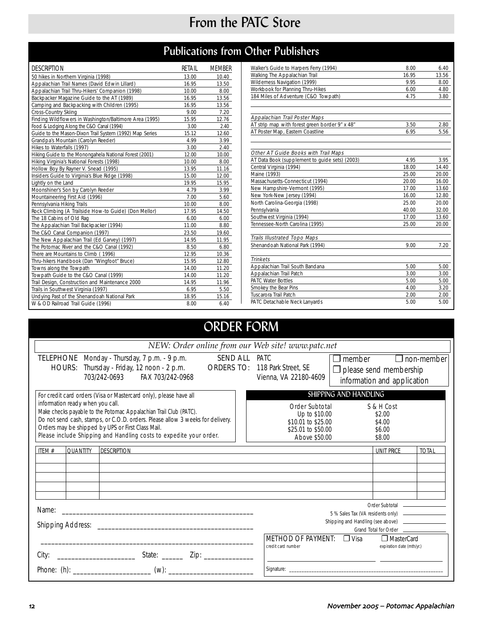# From the PATC Store

# Publications from Other Publishers

| <b>DESCRIPTION</b>                                      | RETAIL | <b>MEMBER</b> |
|---------------------------------------------------------|--------|---------------|
| 50 hikes in Northern Virginia (1998)                    | 13.00  | 10.40         |
| Appalachian Trail Names (David Edwin Lillard)           | 16.95  | 13.50         |
| Appalachian Trail Thru-Hikers' Companion (1998)         | 10.00  | 8.00          |
| Backpacker Magazine Guide to the AT (1989)              | 16.95  | 13.56         |
| Camping and Backpacking with Children (1995)            | 16.95  | 13.56         |
| Cross-Country Skiing                                    | 9.00   | 7.20          |
| Finding Wildflowers in Washington/Baltimore Area (1995) | 15.95  | 12.76         |
| Food & Lodging Along the C&O Canal (1994)               | 3.00   | 2.40          |
| Guide to the Mason-Dixon Trail System (1992) Map Series | 15.12  | 12.60         |
| Grandpa's Mountain (Carolyn Reeder)                     | 4.99   | 3.99          |
| Hikes to Waterfalls (1997)                              | 3.00   | 2.40          |
| Hiking Guide to the Monongahela National Forest (2001)  | 12.00  | 10.00         |
| Hiking Virginia's National Forests (1998)               | 10.00  | 8.00          |
| Hollow Boy By Rayner V. Snead (1995)                    | 13.95  | 11.16         |
| Insiders Guide to Virginia's Blue Ridge (1998)          | 15.00  | 12.00         |
| Lightly on the Land                                     | 19.95  | 15.95         |
| Moonshiner's Son by Carolyn Reeder                      | 4.79   | 3.99          |
| Mountaineering First Aid (1996)                         | 7.00   | 5.60          |
| Pennsylvania Hiking Trails                              | 10.00  | 8.00          |
| Rock Climbing (A Trailside How-to Guide) (Don Mellor)   | 17.95  | 14.50         |
| The 18 Cabins of Old Rag                                | 6.00   | 6.00          |
| The Appalachian Trail Backpacker (1994)                 | 11.00  | 8.80          |
| The C&O Canal Companion (1997)                          | 23.50  | 19.60         |
| The New Appalachian Trail (Ed Garvey) (1997)            | 14.95  | 11.95         |
| The Potomac River and the C&O Canal (1992)              | 8.50   | 6.80          |
| There are Mountains to Climb (1996)                     | 12.95  | 10.36         |
| Thru-hikers Handbook (Dan "Wingfoot" Bruce)             | 15.95  | 12.80         |
| Towns along the Towpath                                 | 14.00  | 11.20         |
| Towpath Guide to the C&O Canal (1999)                   | 14.00  | 11.20         |
| Trail Design, Construction and Maintenance 2000         | 14.95  | 11.96         |
| Trails in Southwest Virginia (1997)                     | 6.95   | 5.50          |
| Undying Past of the Shenandoah National Park            | 18.95  | 15.16         |
| W & OD Railroad Trail Guide (1996)                      | 8.00   | 6.40          |

| Walker's Guide to Harpers Ferry (1994)         | 8.00  | 6.40  |
|------------------------------------------------|-------|-------|
| Walking The Appalachian Trail                  | 16.95 | 13.56 |
| Wilderness Navigation (1999)                   | 9.95  | 8.00  |
| Workbook for Planning Thru-Hikes               | 6.00  | 4.80  |
| 184 Miles of Adventure (C&O Towpath)           | 4.75  | 3.80  |
|                                                |       |       |
| Appalachian Trail Poster Maps                  |       |       |
| AT strip map with forest green border 9" x 48" | 3.50  | 2.80  |
| AT Poster Map, Eastern Coastline               | 6.95  | 5.56  |
|                                                |       |       |
| Other AT Guide Books with Trail Maps           |       |       |
| AT Data Book (supplement to quide sets) (2003) | 4.95  | 3.95  |
| Central Virginia (1994)                        | 18.00 | 14.40 |
| Maine (1993)                                   | 25.00 | 20.00 |
| Massachusetts-Connecticut (1994)               | 20.00 | 16.00 |
| New Hampshire-Vermont (1995)                   | 17.00 | 13.60 |
| New York-New Jersey (1994)                     | 16.00 | 12.80 |
| North Carolina-Georgia (1998)                  | 25.00 | 20.00 |
| Pennsylvania                                   | 40.00 | 32.00 |
| Southwest Virginia (1994)                      | 17.00 | 13.60 |
| Tennessee-North Carolina (1995)                | 25.00 | 20.00 |
| <b>Trails Illustrated Topo Maps</b>            |       |       |
| Shenandoah National Park (1994)                | 9.00  | 7.20  |
| <b>Trinkets</b>                                |       |       |
| Appalachian Trail South Bandana                | 5.00  | 5.00  |
| Appalachian Trail Patch                        | 3.00  | 3.00  |
| <b>PATC Water Bottles</b>                      | 5.00  | 5.00  |
| Smokey the Bear Pins                           | 4.00  | 3.20  |
| Tuscarora Trail Patch                          | 2.00  | 2.00  |
| PATC Detachable Neck Lanyards                  | 5.00  | 5.00  |

# ORDER FORM

| NEW: Order online from our Web site! www.patc.net                                                                                                                                                                                                                                                                                                                                       |                 |                                                                                                                             |  |                                           |                                                                                                                                                                                     |                                                                                              |                       |                                                              |                   |
|-----------------------------------------------------------------------------------------------------------------------------------------------------------------------------------------------------------------------------------------------------------------------------------------------------------------------------------------------------------------------------------------|-----------------|-----------------------------------------------------------------------------------------------------------------------------|--|-------------------------------------------|-------------------------------------------------------------------------------------------------------------------------------------------------------------------------------------|----------------------------------------------------------------------------------------------|-----------------------|--------------------------------------------------------------|-------------------|
|                                                                                                                                                                                                                                                                                                                                                                                         |                 | TELEPHONE Monday - Thursday, 7 p.m. - 9 p.m.<br>HOURS: Thursday - Friday, 12 noon - 2 p.m.<br>703/242-0693 FAX 703/242-0968 |  | <b>SEND ALL PATC</b><br><b>ORDERS TO:</b> |                                                                                                                                                                                     | 118 Park Street, SE<br>Vienna, VA 22180-4609                                                 | $\Box$ member         | $\Box$ please send membership<br>information and application | $\Box$ non-member |
| For credit card orders (Visa or Mastercard only), please have all<br>information ready when you call.<br>Make checks payable to the Potomac Appalachian Trail Club (PATC).<br>Do not send cash, stamps, or C.O.D. orders. Please allow 3 weeks for delivery.<br>Orders may be shipped by UPS or First Class Mail.<br>Please include Shipping and Handling costs to expedite your order. |                 |                                                                                                                             |  |                                           |                                                                                                                                                                                     | Order Subtotal<br>Up to \$10.00<br>\$10.01 to \$25.00<br>\$25.01 to \$50.00<br>Above \$50.00 | SHIPPING AND HANDLING | S & H Cost<br>\$2.00<br>\$4.00<br>\$6.00<br>\$8.00           |                   |
| ITEM #                                                                                                                                                                                                                                                                                                                                                                                  | <b>QUANTITY</b> | <b>DESCRIPTION</b>                                                                                                          |  |                                           |                                                                                                                                                                                     |                                                                                              |                       | <b>UNIT PRICE</b>                                            | <b>TOTAI</b>      |
| Name:<br><u> 1980 - Johann John Stein, mars an deutscher Stein († 1908)</u>                                                                                                                                                                                                                                                                                                             |                 |                                                                                                                             |  |                                           | Shipping and Handling (see above) ____________________<br>Grand Total for Order <b>contains the Contact Contains and School</b><br>METHOD OF PAYMENT: D Visa<br><b>T</b> MasterCard |                                                                                              |                       |                                                              |                   |
| City:                                                                                                                                                                                                                                                                                                                                                                                   |                 |                                                                                                                             |  |                                           |                                                                                                                                                                                     | credit card number                                                                           |                       | expiration date (mth/yr.)                                    |                   |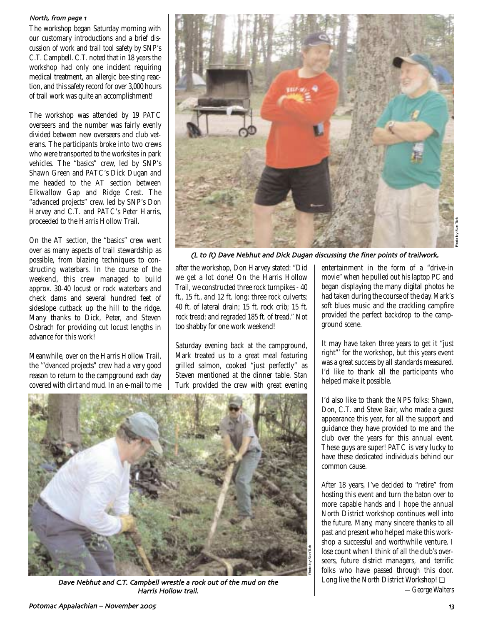#### North, from page 1

The workshop began Saturday morning with our customary introductions and a brief discussion of work and trail tool safety by SNP's C.T. Campbell. C.T. noted that in 18 years the workshop had only one incident requiring medical treatment, an allergic bee-sting reaction, and this safety record for over 3,000 hours of trail work was quite an accomplishment!

The workshop was attended by 19 PATC overseers and the number was fairly evenly divided between new overseers and club veterans. The participants broke into two crews who were transported to the worksites in park vehicles. The "basics" crew, led by SNP's Shawn Green and PATC's Dick Dugan and me headed to the AT section between Elkwallow Gap and Ridge Crest. The "advanced projects" crew, led by SNP's Don Harvey and C.T. and PATC's Peter Harris, proceeded to the Harris Hollow Trail.

On the AT section, the "basics" crew went over as many aspects of trail stewardship as possible, from blazing techniques to constructing waterbars. In the course of the weekend, this crew managed to build approx. 30-40 locust or rock waterbars and check dams and several hundred feet of sideslope cutback up the hill to the ridge. Many thanks to Dick, Peter, and Steven Osbrach for providing cut locust lengths in advance for this work!

Meanwhile, over on the Harris Hollow Trail, the '"dvanced projects" crew had a very good reason to return to the campground each day covered with dirt and mud. In an e-mail to me



(L to R) Dave Nebhut and Dick Dugan discussing the finer points of trailwork

Photo by Stan Turk

after the workshop, Don Harvey stated: "Did we get a lot done! On the Harris Hollow Trail, we constructed three rock turnpikes - 40 ft., 15 ft., and 12 ft. long; three rock culverts; 40 ft. of lateral drain; 15 ft. rock crib; 15 ft. rock tread; and regraded 185 ft. of tread." Not too shabby for one work weekend!

Saturday evening back at the campground, Mark treated us to a great meal featuring grilled salmon, cooked "just perfectly" as Steven mentioned at the dinner table. Stan Turk provided the crew with great evening

entertainment in the form of a "drive-in movie" when he pulled out his laptop PC and began displaying the many digital photos he had taken during the course of the day. Mark's soft blues music and the crackling campfire provided the perfect backdrop to the campground scene.

It may have taken three years to get it "just right"' for the workshop, but this years event was a great success by all standards measured. I'd like to thank all the participants who helped make it possible.

I'd also like to thank the NPS folks: Shawn, Don, C.T. and Steve Bair, who made a guest appearance this year, for all the support and guidance they have provided to me and the club over the years for this annual event. These guys are super! PATC is very lucky to have these dedicated individuals behind our common cause.

After 18 years, I've decided to "retire" from hosting this event and turn the baton over to more capable hands and I hope the annual North District workshop continues well into the future. Many, many sincere thanks to all past and present who helped make this workshop a successful and worthwhile venture. I lose count when I think of all the club's overseers, future district managers, and terrific folks who have passed through this door. Long live the North District Workshop! ❏

Dave Nebhut and C.T. Campbell wrestle a rock out of the mud on the Harris Hollow trail

*—George Walters*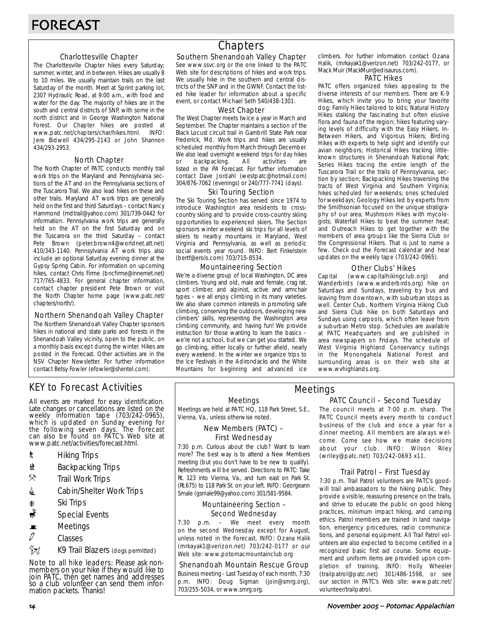## Charlottesville Chapter

The Charlottesville Chapter hikes every Saturday; summer, winter, and in between. Hikes are usually 8 to 10 miles. We usually maintain trails on the last Saturday of the month. Meet at Sprint parking lot, 2307 Hydraulic Road, at 9:00 a.m., with food and water for the day. The majority of hikes are in the south and central districts of SNP, with some in the north district and in George Washington National Forest. Our Chapter hikes are posted at www.patc.net/chapters/char/hikes.html. INFO: Jere Bidwell 434/295-2143 or John Shannon 434/293-2953.

## North Chapter

The North Chapter of PATC conducts monthly trail work trips on the Maryland and Pennsylvania sections of the AT and on the Pennsylvania sections of the Tuscarora Trail. We also lead hikes on these and other trails. Maryland AT work trips are generally held on the first and third Saturdays – contact Nancy Hammond (mdtrail@yahoo.com) 301/739-0442 for information. Pennsylvania work trips are generally held on the AT on the first Saturday and on the Tuscarora on the third Saturday – contact Pete Brown (peter.brown4@worldnet.att.net) 410/343-1140. Pennsylvania AT work trips also include an optional Saturday evening dinner at the Gypsy Spring Cabin. For information on upcoming hikes, contact Chris Firme (bncfirme@innernet.net) 717/765-4833. For general chapter information, contact chapter president Pete Brown or visit the North Chapter home page (www.patc.net/ chapters/north/).

#### Northern Shenandoah Valley Chapter

The Northern Shenandoah Valley Chapter sponsors hikes in national and state parks and forests in the Shenandoah Valley vicinity, open to the public, on a monthly basis except during the winter. Hikes are posted in the Forecast. Other activities are in the NSV Chapter Newsletter. For further information contact Betsy Fowler (efowler@shentel.com).

# KEY to Forecast Activities

All events are marked for easy identification. Late changes or cancellations are listed on the weekly information tape (703/242-0965), which is updated on Sunday evening for the following seven days. The Forecast can also be found on PATC's Web site at www.patc.net/activities/forecast.html.

- **\*** Hiking Trips
- \* Backpacking Trips
- $\mathcal{R}$  Trail Work Trips
- **i** Cabin/Shelter Work Trips
- **A** Ski Trips
- Special Events
- $\blacksquare$  Meetings
- $\varnothing$  Classes
- $\frac{2}{3}$  K9 Trail Blazers (dogs permitted)

Note to all hike leaders: Please ask nonmembers on your hike if they would like to join PATC, then get names and addresses so a club volunteer can send them information packets. Thanks!

# **Chapters**

## Southern Shenandoah Valley Chapter

See www.ssvc.org or the one linked to the PATC Web site for descriptions of hikes and work trips. We usually hike in the southern and central districts of the SNP and in the GWNF. Contact the listed hike leader for information about a specific event, or contact Michael Seth 540/438-1301.

#### West Chapter

The West Chapter meets twice a year in March and September. The Chapter maintains a section of the Black Locust circuit trail in Gambrill State Park near Frederick, Md. Work trips and hikes are usually scheduled monthly from March through December. We also lead overnight weekend trips for day hikes or backpacking. All activities are listed in the PA Forecast. For further information contact Dave Jordahl (westpatc@hotmail.com) 304/876-7062 (evenings) or 240/777-7741 (days).

#### Ski Touring Section

The Ski Touring Section has served since 1974 to introduce Washington area residents to crosscountry skiing and to provide cross-country skiing opportunities to experienced skiers. The Section sponsors winter weekend ski trips for all levels of skiers to nearby mountains in Maryland, West Virginia and Pennsylvania, as well as periodic social events year round. INFO: Bert Finkelstein (bertf@erols.com) 703/715-8534.

## Mountaineering Section

We're a diverse group of local Washington, DC area climbers. Young and old, male and female, crag rat, sport climber, and alpinist, active and armchair types – we all enjoy climbing in its many varieties. We also share common interests in promoting safe climbing, conserving the outdoors, developing new climbers' skills, representing the Washington area climbing community, and having fun! We provide instruction for those wanting to learn the basics – we're not a school, but we can get you started. We go climbing, either locally or further afield, nearly every weekend. In the winter we organize trips to the Ice Festivals in the Adirondacks and the White Mountains for beginning and advanced ice climbers. For further information contact Ozana Halik, (mrkayak1@verizon.net) 703/242-0177, or Mack Muir (MackMuir@edisaurus.com).

#### PATC Hikes

PATC offers organized hikes appealing to the diverse interests of our members. There are K-9 Hikes, which invite you to bring your favorite dog; Family Hikes tailored to kids; Natural History Hikes stalking the fascinating but often elusive flora and fauna of the region; hikes featuring varying levels of difficulty with the Easy Hikers, In-Between Hikers, and Vigorous Hikers; Birding Hikes with experts to help sight and identify our avian neighbors; Historical Hikes tracking littleknown structures in Shenandoah National Park; Series Hikes tracing the entire length of the Tuscarora Trail or the trails of Pennsylvania, section by section; Backpacking Hikes traversing the tracts of West Virginia and Southern Virginia; hikes scheduled for weekends; ones scheduled for weekdays; Geology Hikes led by experts from the Smithsonian focused on the unique stratigraphy of our area; Mushroom Hikes with mycologists; Waterfall Hikes to beat the summer heat; and Outreach Hikes to get together with the members of area groups like the Sierra Club or the Congressional Hikers. That is just to name a few. Check out the Forecast calendar and hear updates on the weekly tape (703/242-0965).

## Other Clubs' Hikes

Capital (www.capitalhikingclub.org) and Wanderbirds (www.wanderbirds.org) hike on Saturdays and Sundays, traveling by bus and leaving from downtown, with suburban stops as well. Center Club, Northern Virginia Hiking Club and Sierra Club hike on both Saturdays and Sundays using carpools, which often leave from a suburban Metro stop. Schedules are available at PATC Headquarters and are published in area newspapers on Fridays. The schedule of West Virginia Highland Conservancy outings in the Monongahela National Forest and surrounding areas is on their web site at www.wvhighlands.org.

#### Meetings

Meetings are held at PATC HQ, 118 Park Street, S.E., Vienna, Va., unless otherwise noted.

## New Members (PATC) – First Wednesday

7:30 p.m. Curious about the club? Want to learn more? The best way is to attend a New Members meeting (but you don't have to be new to qualify). Refreshments will be served. Directions to PATC: Take Rt. 123 into Vienna, Va., and turn east on Park St. (Rt.675) to 118 Park St. on your left. INFO: Georgeann Smale (gsmale99@yahoo.com) 301/581-9584.

## Mountaineering Section – Second Wednesday

7:30 p.m. – We meet every month on the second Wednesday except for August, unless noted in the Forecast. INFO: Ozana Halik (mrkayak1@verizon.net) 703/242-0177 or our Web site: www.potomacmountainclub.org

## Shenandoah Mountain Rescue Group

Business meeting - Last Tuesday of each month, 7:30 p.m. INFO: Doug Sigman (join@smrg.org), 703/255-5034, or www.smrg.org.

## PATC Council – Second Tuesday Meetings

The council meets at 7:00 p.m. sharp. The PATC Council meets every month to conduct business of the club and once a year for a dinner meeting. All members are always welcome. Come see how we make decisions about your club. INFO: Wilson Riley (wriley@patc.net) 703/242-0693 x11.

## Trail Patrol – First Tuesday

7:30 p.m. Trail Patrol volunteers are PATC's goodwill trail ambassadors to the hiking public. They provide a visible, reassuring presence on the trails, and strive to educate the public on good hiking practices, minimum impact hiking, and camping ethics. Patrol members are trained in land navigation, emergency procedures, radio communications, and personal equipment. All Trail Patrol volunteers are also expected to become certified in a recognized basic first aid course. Some equipment and uniform items are provided upon completion of training. INFO: Holly Wheeler (trailpatrol@patc.net) 301/486-1598, or see our section in PATC's Web site: www.patc.net/ volunteer/trailpatrol.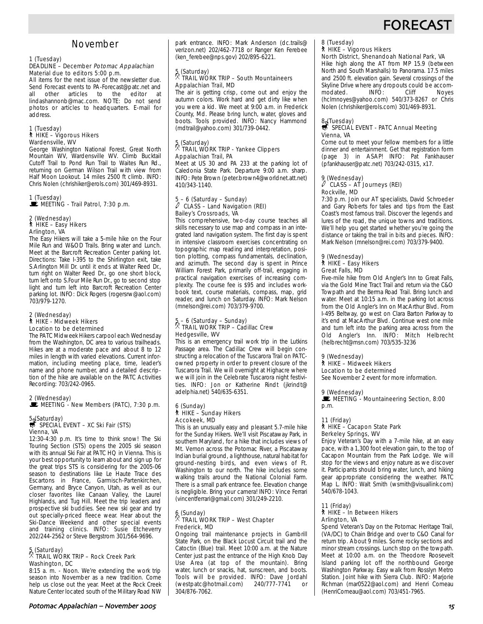# **FORECAS**

# November

# 1 (Tuesday)

#### DEADLINE – December Potomac Appalachian Material due to editors 5:00 p.m.

All items for the next issue of the newsletter due. Send Forecast events to PA-Forecast@patc.net and<br>all other articles to the editor at other articles to the lindashannonb@mac.com. NOTE: Do not send photos or articles to headquarters. E-mail for address.

## 1 (Tuesday) ` HIKE – Vigorous Hikers Wardensville, WV

George Washington National Forest, Great North Mountain WV, Wardensville WV. Climb Bucktail Cutoff Trail to Pond Run Trail to Waites Run Rd., returning on German Wilson Trail with view from Half Moon Lookout. 14 miles 2500 ft climb. INFO: Chris Nolen (chrishiker@erols.com) 301/469-8931.

1 (Tuesday)<br>■ MEETING - Trail Patrol, 7:30 p.m.

#### 2 (Wednesday) ` HIKE – Easy Hikers Arlington, VA

The Easy Hikers will take a 5-mile hike on the Four Mile Run and W&OD Trails. Bring water and Lunch. Meet at the Barcroft Recreation Center parking lot. Directions: Take I-395 to the Shirlington exit, take S.Arlington Mill Dr. until it ends at Walter Reed Dr., turn right on Walter Reed Dr., go one short block, turn left onto S.Four Mile Run Dr., go to second stop light and turn left into Barcroft Recreation Center parking lot. INFO: Dick Rogers (rogersrw@aol.com) 703/979-1270.

#### 2 (Wednesday) ` HIKE - Midweek Hikers Location to be determined

The PATC Midweek Hikers carpool each Wednesday from the Washington, DC area to various trailheads. Hikes are at a moderate pace and about 8 to 12 miles in length with varied elevations. Current information, including meeting place, time, leader's name and phone number, and a detailed description of the hike are available on the PATC Activities Recording: 703/242-0965.

#### 2 (Wednesday) MEETING - New Members (PATC), 7:30 p.m.

# 5. (Saturday)<br>第 SPECIAL EVENT – XC Ski Fair (STS) Vienna, VA

12:30-4:30 p.m. It's time to think snow! The Ski Touring Section (STS) opens the 2005 ski season with its annual Ski Fair at PATC HQ in Vienna. This is your best opportunity to learn about and sign up for the great trips STS is considering for the 2005-06 season to destinations like Le Haute Trace des Escartons in France, Garmisch-Partenkirchen, Germany, and Bryce Canyon, Utah, as well as our closer favorites like Canaan Valley, the Laurel Highlands, and Tug Hill. Meet the trip leaders and prospective ski buddies. See new ski gear and try out specially-priced fleece wear. Hear about the Ski-Dance Weekend and other special events and training clinics. INFO: Susie Etcheverry 202/244-2562 or Steve Bergstrom 301/564-9696.

## 5 (Saturday) . TRAIL WORK TRIP – Rock Creek Park Washington, DC

8:15 a. m. - Noon. We're extending the work trip season into November as a new tradition. Come help us close out the year. Meet at the Rock Creek Nature Center located south of the Military Road NW park entrance. INFO: Mark Anderson (dc.trails@ verizon.net) 202/462-7718 or Ranger Ken Ferebee (ken\_ferebee@nps.gov) 202/895-6221.

## 5 (Saturday) . TRAIL WORK TRIP – South Mountaineers Appalachian Trail, MD

The air is getting crisp, come out and enjoy the autumn colors. Work hard and get dirty like when you were a kid. We meet at 9:00 a.m. in Frederick County, Md. Please bring lunch, water, gloves and boots. Tools provided. INFO: Nancy Hammond (mdtrail@yahoo.com) 301/739-0442.

## 5 (Saturday) . TRAIL WORK TRIP - Yankee Clippers Appalachian Trail, PA

Meet at US 30 and PA 233 at the parking lot of Caledonia State Park. Departure 9:00 a.m. sharp. INFO: Pete Brown (peter.brown4@worldnet.att.net) 410/343-1140.

# 5 – 6 (Saturday – Sunday) a CLASS – Land Navigation (REI) Bailey's Crossroads, VA

This comprehensive, two-day course teaches all skills necessary to use map and compass in an integrated land navigation system. The first day is spent in intensive classroom exercises concentrating on topographic map reading and interpretation, position plotting, compass fundamentals, declination, and azimuth. The second day is spent in Prince William Forest Park, primarily off-trail, engaging in practical navigation exercises of increasing complexity. The course fee is \$95 and includes workbook text, course materials, compass, map, grid reader, and lunch on Saturday. INFO: Mark Nelson (mnelson@rei.com) 703/379-9700.

# 5 – 6 (Saturday – Sunday) . TRAIL WORK TRIP – Cadillac Crew Hedgesville, WV

This is an emergency trail work trip in the Lutkins Passage area. The Cadillac Crew will begin constructing a relocation of the Tuscarora Trail on PATCowned property in order to prevent closure of the Tuscarora Trail. We will overnight at Highacre where we will join in the Celebrate Tuscarora night festivities. INFO: Jon or Katherine Rindt (jkrindt@ adelphia.net) 540/635-6351.

#### 6 (Sunday) ` HIKE – Sunday Hikers Accokeek, MD

This is an unusually easy and pleasant 5.7-mile hike for the Sunday Hikers. We'll visit Piscataway Park, in southern Maryland, for a hike that includes views of Mt. Vernon across the Potomac River, a Piscataway Indian burial ground, a lighthouse, natural habitat for ground-nesting birds, and even views of Ft. Washington to our north. The hike includes some walking trails around the National Colonial Farm. There is a small park entrance fee. Elevation change is negligible. Bring your camera! INFO: Vince Ferrari (vincentferrari@gmail.com) 301/249-2210.

# 6 (Sunday) . TRAIL WORK TRIP – West Chapter Frederick, MD

Ongoing trail maintenance projects in Gambrill State Park, on the Black Locust Circuit trail and the Catoctin (Blue) trail. Meet 10:00 a.m. at the Nature Center just past the entrance of the High Knob Day Use Area (at top of the mountain). Bring water, lunch or snacks, hat, sunscreen, and boots. Tools will be provided. INFO: Dave Jordahl<br>(westpatc@hotmail.com) 240/777-7741 or (westpatc@hotmail.com) 240/777-7741 or 304/876-7062.

# 8 (Tuesday) ` HIKE – Vigorous Hikers

## North District, Shenandoah National Park, VA

Hike high along the AT from MP 15.9 (between North and South Marshalls) to Panorama. 17.5 miles and 2500 ft. elevation gain. Several crossings of the Skyline Drive where any dropouts could be accom-<br>modated. INFO: Cliff Noves modated. (hclmnoyes@yahoo.com) 540/373-8267 or Chris Nolen (chrishiker@erols.com) 301/469-8931.

# 8. (Tuesday)<br>\$ SPECIAL EVENT - PATC Annual Meeting

# Vienna, VA

Come out to meet your fellow members for a little dinner and entertainment. Get that registration form (page 3) in ASAP! INFO: Pat Fankhauser (pfankhauser@patc.net) 703/242-0315, x17.

#### 9 (Wednesday) CLASS – AT Journeys (REI) Rockville, MD

7:30 p.m. Join our AT specialists, David Schroeder and Gary Roberts for tales and tips from the East Coast's most famous trail. Discover the legends and lures of the road, the unique towns and traditions. We'll help you get started whether you're going the distance or taking the trail in bits and pieces. INFO: Mark Nelson (mnelson@rei.com) 703/379-9400.

#### 9 (Wednesday) ` HIKE – Easy Hikers

#### Great Falls, MD

Five-mile hike from Old Angler's Inn to Great Falls, via the Gold Mine Tract Trail and return via the C&O Towpath and the Berma Road Trail. Bring lunch and water. Meet at 10:15 a.m. in the parking lot across from the Old Angler's Inn on MacArthur Blvd. From I-495 Beltway, go west on Clara Barton Parkway to it's end at MacArthur Blvd. Continue west one mile and turn left into the parking area across from the Old Angler's Inn. INFO: Mitch Helbrecht (helbrecht@msn.com) 703/535-3236

#### 9 (Wednesday)

#### ` HIKE – Midweek Hikers

Location to be determined

See November 2 event for more information.

#### 9 (Wednesday)

MEETING - Mountaineering Section, 8:00 p.m.

## 11 (Friday)

#### ` HIKE – Cacapon State Park Berkeley Springs, WV

Enjoy Veteran's Day with a 7-mile hike, at an easy pace, with a 1,300 foot elevation gain, to the top of Cacapon Mountain from the Park Lodge. We will stop for the views and enjoy nature as we discover it. Participants should bring water, lunch, and hiking gear appropriate considering the weather. PATC Map L. INFO: Walt Smith (wsmith@visuallink.com) 540/678-1043.

#### 11 (Friday) ` HIKE – In Between Hikers

## Arlington, VA

Spend Veteran's Day on the Potomac Heritage Trail, (VA/DC) to Chain Bridge and over to C&O Canal for return trip. About 9 miles. Some rocky sections and minor stream crossings. Lunch stop on the towpath. Meet at 10:00 a.m. on the Theodore Roosevelt Island parking lot off the northbound George Washington Parkway. Easy walk from Rosslyn Metro Station. Joint hike with Sierra Club. INFO: Marjorie Richman (mar0522@aol.com) and Henri Comeau (HenriComeau@aol.com) 703/451-7965.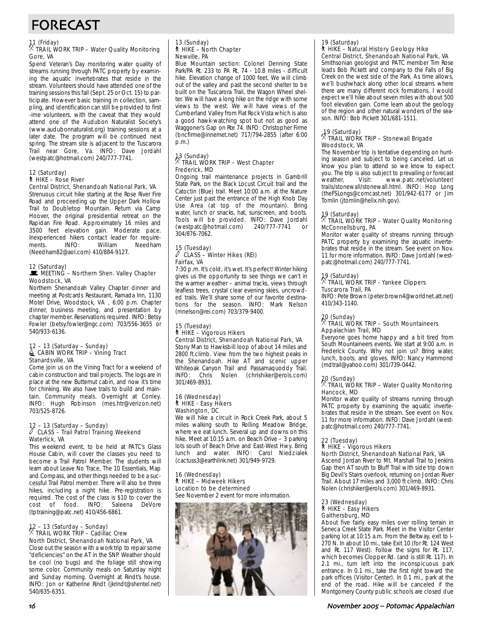# FORECAST

# 11 (Friday) . TRAIL WORK TRIP – Water Quality Monitoring Gore, VA

Spend Veteran's Day monitoring water quality of streams running through PATC property by examining the aquatic invertebrates that reside in the stream. Volunteers should have attended one of the training sessions this fall (Sept. 25 or Oct. 15) to participate. However basic training in collection, sampling, and identification can still be provided to first -ime volunteers, with the caveat that they would attend one of the Audubon Naturalist Society's (www.audubonnaturalist.org) training sessions at a later date. The program will be continued next spring. The stream site is adjacent to the Tuscarora Trail near Gore, Va. INFO: Dave Jordahl (westpatc@hotmail.com) 240/777-7741.

#### 12 (Saturday) ` HIKE – Rose River

#### Central District, Shenandoah National Park, VA

Strenuous circuit hike starting at the Rose River Fire Road and proceeding up the Upper Dark Hollow Trail to Doubletop Mountain. Return via Camp Hoover, the original presidential retreat on the Rapidan Fire Road. Approximately 16 miles and 3500 feet elevation gain. Moderate pace. Inexperienced hikers contact leader for requirements. INFO: William Needham (Needham82@aol.com) 410/884-9127.

#### 12 (Saturday) MEETING - Northern Shen. Valley Chapter

Woodstock, VA Northern Shenandoah Valley Chapter dinner and meeting at Postcards Restaurant, Ramada Inn, 1130 Motel Drive, Woodstock, VA , 6:00 p.m. Chapter

dinner, business meeting, and presentation by chapter member. Reservations required. INFO: Betsy Fowler (betsy.fowler@ngc.com) 703/556-3655 or 540/933-6136.

#### 12 – 13 (Saturday – Sunday) **id CABIN WORK TRIP – Vining Tract** Stanardsville, VA

Come join us on the Vining Tract for a weekend of cabin construction and trail projects. The logs are in place at the new Butternut cabin, and now it's time for chinking. We also have trails to build and maintain. Community meals. Overnight at Conley. INFO: Hugh Robinson (mes.htr@verizon.net) 703/525-8726.

## 12 – 13 (Saturday – Sunday) a CLASS – Trail Patrol Training Weekend Waterlick, VA

This weekend event, to be held at PATC's Glass House Cabin, will cover the classes you need to become a Trail Patrol Member. The students will learn about Leave No Trace, The 10 Essentials, Map and Compass, and other things needed to be a successful Trail Patrol member. There will also be three hikes, including a night hike. Pre-registration is required. The cost of the class is \$10 to cover the cost of food. INFO: Saleena DeVore (tptraining@patc.net) 410/456-6861.

# 12 – 13 (Saturday – Sunday) . TRAIL WORK TRIP – Cadillac Crew North District, Shenandoah National Park, VA

Close out the season with a work trip to repair some "deficiencies" on the AT in the SNP. Weather should be cool (no bugs) and the foliage still showing some color. Community meals on Saturday night and Sunday morning. Overnight at Rindt's house. INFO: Jon or Katherine Rindt (jkrindt@shentel.net) 540/635-6351.

## 13 (Sunday) ` HIKE – North Chapter Newville, PA

Blue Mountain section: Colonel Denning State Park/PA Rt. 233 to PA Rt. 74 - 10.8 miles - difficult hike. Elevation change of 1000 feet. We will climb out of the valley and past the second shelter to be built on the Tuscarora Trail, the Wagon Wheel shelter. We will have a long hike on the ridge with some views to the west. We will have views of the Cumberland Valley from Flat Rock Vista which is also a good hawk-watching spot but not as good as Waggoner's Gap on Rte 74. INFO: Christopher Firme (bncfirme@innernet.net) 717/794-2855 (after 6:00 p.m.)

## 13 (Sunday) . TRAIL WORK TRIP – West Chapter Frederick, MD

Ongoing trail maintenance projects in Gambrill State Park, on the Black Locust Circuit trail and the Catoctin (Blue) trail. Meet 10:00 a.m. at the Nature Center just past the entrance of the High Knob Day Use Area (at top of the mountain). Bring water, lunch or snacks, hat, sunscreen, and boots. Tools will be provided. INFO: Dave Jordahl<br>(westpatc@hotmail.com) 240/777-7741 or (westpatc@hotmail.com) 240/777-7741 or 304/876-7062.

## 15 (Tuesday) a CLASS – Winter Hikes (REI) Fairfax, VA

7:30 p.m. It's cold, it's wet. It's perfect! Winter hiking gives us the opportunity to see things we can't in the warmer weather – animal tracks, views through leafless trees, crystal clear evening skies, uncrowded trails. We'll share some of our favorite destinations for the season. INFO: Mark Nelson (mnelson@rei.com) 703/379-9400.

#### 15 (Tuesday) ` HIKE – Vigorous Hikers Central District, Shenandoah National Park, VA

Stony Man to Hawksbill loop of about 14 miles and 2800 ft.climb. View from the two highest peaks in the Shenandoah. Hike AT and scenic upper Whiteoak Canyon Trail and Passamaquoddy Trail. INFO: Chris Nolen (chrishiker@erols.com) 301/469-8931.

#### 16 (Wednesday) ` HIKE - Easy Hikers Washington, DC

We will hike a circuit in Rock Creek Park, about 5 miles walking south to Rolling Meadow Bridge, where we eat lunch. Several up and downs on this hike. Meet at 10:15 a.m. on Beach Drive – 3 parking lots south of Beach Drive and East-West Hwy. Bring lunch and water. INFO: Carol Niedzialek (cactuss3@earthlink.net) 301/949-9729.

#### 16 (Wednesday) ` HIKE – Midweek Hikers Location to be determined

See November 2 event for more information.



# 19 (Saturday)<br>┆ HIKE – Natural History Geology Hike

Central District, Shenandoah National Park, VA

Smithsonian geologist and PATC member Tim Rose leads Bob Pickett and company to the Falls of Big Creek on the west side of the Park. As time allows, we'll bushwhack along other local streams where there are many different rock formations. I would expect we'll hike about seven miles with about 500 foot elevation gain. Come learn about the geology of the region and other natural wonders of the season. INFO: Bob Pickett 301/681-1511.

## 19 (Saturday) . TRAIL WORK TRIP – Stonewall Brigade Woodstock, VA

The November trip is tentative depending on hunting season and subject to being canceled. Let us know you plan to attend so we know to expect you. The trip is also subject to prevailing or forecast<br>weather. Visit: www.patc.net/volunteer/ www.patc.net/volunteer/ trails/stonewall/stonewall.html. INFO: Hop Long (theFSLongs@comcast.net) 301/942-6177 or Jim Tomlin (jtomlin@helix.nih.gov).

## 19 (Saturday) . TRAIL WORK TRIP – Water Quality Monitoring McConnellsburg, PA

Monitor water quality of streams running through PATC property by examining the aquatic invertebrates that reside in the stream. See event on Nov. 11 for more information. INFO: Dave Jordahl (westpatc@hotmail.com) 240/777-7741.

## 19 (Saturday) . TRAIL WORK TRIP - Yankee Clippers Tuscarora Trail, PA

INFO: Pete Brown (peter.brown4@worldnet.att.net) 410/343-1140.

## 20 (Sunday) . TRAIL WORK TRIP – South Mountaineers Appalachian Trail, MD

Everyone goes home happy and a bit tired from South Mountaineers events. We start at 9:00 a.m. in Frederick County. Why not join us? Bring water, lunch, boots, and gloves. INFO: Nancy Hammond (mdtrail@yahoo.com) 301/739-0442.

## 20 (Sunday) . TRAIL WORK TRIP – Water Quality Monitoring Hancock, MD

Monitor water quality of streams running through PATC property by examining the aquatic invertebrates that reside in the stream. See event on Nov. 11 for more information. INFO: Dave Jordahl (westpatc@hotmail.com) 240/777-7741.

#### 22 (Tuesday) ` HIKE – Vigorous Hikers

#### North District, Shenandoah National Park, VA

Ascend Jordan River to Mt. Marshall Trail to Jenkins Gap then AT south to Bluff Trail with side trip down Big Devil's Stairs overlook, returning on Jordan River Trail. About 17 miles and 3,000 ft climb. INFO: Chris Nolen (chrishiker@erols.com) 301/469-8931.

#### 23 (Wednesday) ` HIKE – Easy Hikers Gaithersburg, MD

About five fairly easy miles over rolling terrain in Seneca Creek State Park. Meet in the Visitor Center parking lot at 10:15 a.m. From the Beltway, exit to I-270 N. In about 10 mi., take Exit 10 (for Rt. 124 West and Rt. 117 West). Follow the signs for Rt. 117, which becomes Clopper Rd. (and is still Rt. 117). In 2.1 mi., turn left into the inconspicuous park entrance. In 0.1 mi., take the first right toward the park offices (Visitor Center). In 0.1 mi., park at the end of the road. Hike will be canceled if the Montgomery County public schools are closed due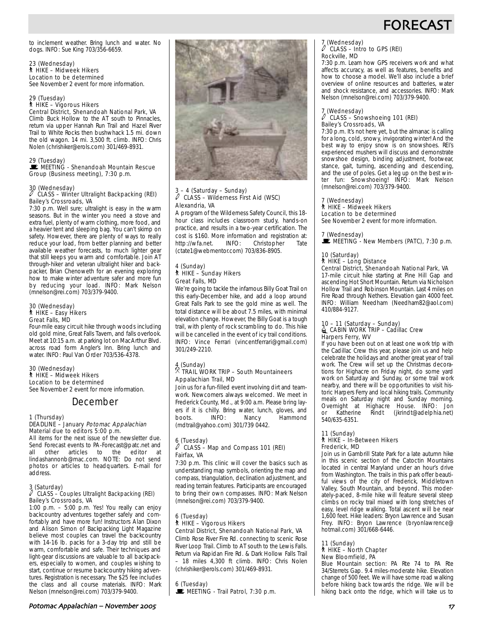

to inclement weather. Bring lunch and water. No dogs. INFO: Sue King 703/356-6659.

23 (Wednesday) ` HIKE – Midweek Hikers Location to be determined See November 2 event for more information.

29 (Tuesday) ` HIKE – Vigorous Hikers Central District, Shenandoah National Park, VA

Climb Buck Hollow to the AT south to Pinnacles, return via upper Hannah Run Trail and Hazel River Trail to White Rocks then bushwhack 1.5 mi. down the old wagon. 14 mi. 3,500 ft. climb. INFO: Chris Nolen (chrishiker@erols.com) 301/469-8931.

29 (Tuesday)<br>■ MEETING - Shenandoah Mountain Rescue Group (Business meeting), 7:30 p.m.

30 (Wednesday) a CLASS – Winter Ultralight Backpacking (REI) Bailey's Crossroads, VA

7:30 p.m. Well sure; ultralight is easy in the warm seasons. But in the winter you need a stove and extra fuel, plenty of warm clothing, more food, and a heavier tent and sleeping bag. You can't skimp on safety. However, there are plenty of ways to really reduce your load, from better planning and better available weather forecasts, to much lighter gear that still keeps you warm and comfortable. Join AT through-hiker and veteran ultralight hiker and backpacker, Brian Chenoweth for an evening exploring how to make winter adventure safer and more fun by reducing your load. INFO: Mark Nelson (mnelson@rei.com) 703/379-9400.

#### 30 (Wednesday) ` HIKE – Easy Hikers Great Falls, MD

Four-mile easy circuit hike through woods including old gold mine, Great Falls Tavern, and falls overlook. Meet at 10:15 a.m. at parking lot on MacArthur Blvd. across road form Angler's Inn. Bring lunch and water. INFO: Paul Van Order 703/536-4378.

#### 30 (Wednesday) ` HIKE – Midweek Hikers Location to be determined See November 2 event for more information.

## December

#### 1 (Thursday) DEADLINE - January Potomac Appalachian Material due to editors 5:00 p.m.

All items for the next issue of the newsletter due. Send Forecast events to PA-Forecast@patc.net and<br>all other articles to the editor at all other articles to the lindashannonb@mac.com. NOTE: Do not send photos or articles to headquarters. E-mail for address.

## 3 (Saturday) a CLASS – Couples Ultralight Backpacking (REI) Bailey's Crossroads, VA

1:00 p.m. – 5:00 p.m. Yes! You really can enjoy backcountry adventures together safely and comfortably and have more fun! Instructors Alan Dixon and Alison Simon of Backpacking Light Magazine believe most couples can travel the backcountry with 14-16 lb. packs for a 3-day trip and still be warm, comfortable and safe. Their techniques and light-gear discussions are valuable to all backpackers, especially to women, and couples wishing to start, continue or resume backcountry hiking adventures. Registration is necessary. The \$25 fee includes the class and all course materials. INFO: Mark Nelson (mnelson@rei.com) 703/379-9400.



#### - 4 (Saturday – Sunday) CLASS – Wilderness First Aid (WSC) Alexandria, VA

A program of the Wilderness Safety Council, this 18 hour class includes classroom study, hands-on practice, and results in a two-year certification. The cost is \$160. More information and registration at: http://wfa.net. INFO: Christopher Tate (ctate1@webmentor.com) 703/836-8905.

#### 4 (Sunday) ` HIKE – Sunday Hikers Great Falls, MD

We're going to tackle the infamous Billy Goat Trail on this early-December hike, and add a loop around Great Falls Park to see the gold mine as well. The total distance will be about 7.5 miles, with minimal elevation change. However, the Billy Goat is a tough trail, with plenty of rock scrambling to do. This hike will be cancelled in the event of icy trail conditions. INFO: Vince Ferrari (vincentferrari@gmail.com) 301/249-2210.

#### 4 (Sunday)  $^\times$  TRAIL WORK TRIP – South Mountaineers Appalachian Trail, MD

Join us for a fun-filled event involving dirt and teamwork. Newcomers always welcomed. We meet in Frederick County, Md., at 9:00 a.m. Please bring layers if it is chilly. Bring water, lunch, gloves, and boots. INFO: Nancy Hammond (mdtrail@yahoo.com) 301/739 0442.

#### 6 (Tuesday) CLASS – Map and Compass 101 (REI) Fairfax, VA

7:30 p.m. This clinic will cover the basics such as understanding map symbols, orienting the map and compass, triangulation, declination adjustment, and reading terrain features. Participants are encouraged to bring their own compasses. INFO: Mark Nelson (mnelson@rei.com) 703/379-9400.

#### 6 (Tuesday) ` HIKE – Vigorous Hikers Central District, Shenandoah National Park, VA

Climb Rose River Fire Rd. connecting to scenic Rose River Loop Trail. Climb to AT south to the Lewis Falls. Return via Rapidan Fire Rd. & Dark Hollow Falls Trail – 18 miles 4,300 ft climb. INFO: Chris Nolen (chrishiker@erols.com) 301/469-8931.

6 (Tuesday) MEETING - Trail Patrol, 7:30 p.m.

## 7 (Wednesday) a CLASS – Intro to GPS (REI) Rockville, MD

7:30 p.m. Learn how GPS receivers work and what affects accuracy, as well as features, benefits and how to choose a model. We'll also include a brief overview of online resources and batteries, water and shock resistance, and accessories. INFO: Mark Nelson (mnelson@rei.com) 703/379-9400.

#### 7 (Wednesday) CLASS – Snowshoeing 101 (REI) Bailey's Crossroads, VA

7:30 p.m. It's not here yet, but the almanac is calling for a long, cold, snowy, invigorating winter! And the best way to enjoy snow is on snowshoes. REI's experienced mushers will discuss and demonstrate snowshoe design, binding adjustment, footwear, stance, gait, turning, ascending and descending, and the use of poles. Get a leg up on the best winter fun: Snowshoeing! INFO: Mark Nelson (mnelson@rei.com) 703/379-9400.

#### 7 (Wednesday) ` HIKE – Midweek Hikers

Location to be determined See November 2 event for more information.

7 (Wednesday)  $\mathbf{\mathbb{E}}$  MEETING - New Members (PATC), 7:30 p.m.

### 10 (Saturday) ` HIKE – Long Distance

Central District, Shenandoah National Park, VA 17-mile circuit hike starting at Pine Hill Gap and ascending Hot Short Mountain. Return via Nicholson

Hollow Trail and Robinson Mountain. Last 4 miles on Fire Road through Nethers. Elevation gain 4000 feet. INFO: William Needham (Needham82@aol.com) 410/884-9127.

# 10 – 11 (Saturday – Sunday)<br>LacaBIN WORK TRIP – Cadillac Crew Harpers Ferry, WV

If you have been out on at least one work trip with the Cadillac Crew this year, please join us and help celebrate the holidays and another great year of trail work. The Crew will set up the Christmas decorations for Highacre on Friday night, do some yard work on Saturday and Sunday, or some trail work nearby, and there will be opportunities to visit historic Harpers Ferry and local hiking trails. Community meals on Saturday night and Sunday morning. Overnight at Highacre House. INFO: Jon or Katherine Rindt (jkrindt@adelphia.net) 540/635-6351.

## 11 (Sunday) ` HIKE – In-Between Hikers Frederick, MD

Join us in Gambrill State Park for a late autumn hike in this scenic section of the Catoctin Mountains located in central Maryland under an hour's drive from Washington. The trails in this park offer beautiful views of the city of Frederick, Middletown Valley, South Mountain, and beyond. This moderately-paced, 8-mile hike will feature several steep climbs on rocky trail mixed with long stretches of easy, level ridge walking. Total ascent will be near 1,600 feet. Hike leaders: Bryon Lawrence and Susan Frey. INFO: Bryon Lawrence (bryonlawrence@ hotmail.com) 301/668-6446.

11 (Sunday) ` HIKE – North Chapter New Bloomfield, PA

Blue Mountain section: PA Rte 74 to PA Rte 34/Sterrets Gap. 9.4 miles-moderate hike. Elevation change of 500 feet. We will have some road walking before hiking back towards the ridge. We will be hiking back onto the ridge, which will take us to

## Potomac Appalachian – November !!" )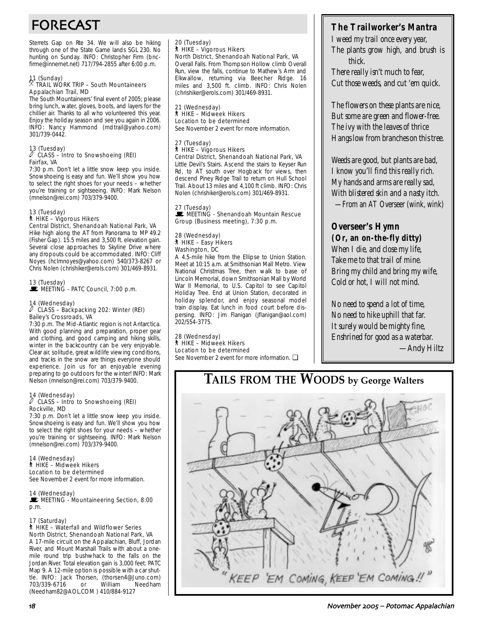# FORECAST

Sterrets Gap on Rte 34. We will also be hiking through one of the State Game lands SGL 230. No hunting on Sunday. INFO: Christopher Firm (bncfirme@innernet.net) 717/794-2855 after 6:00 p.m.

# 11 (Sunday) . TRAIL WORK TRIP – South Mountaineers Appalachian Trail, MD

The South Mountaineers' final event of 2005; please bring lunch, water, gloves, boots, and layers for the chillier air. Thanks to all who volunteered this year. Enjoy the holiday season and see you again in 2006. INFO: Nancy Hammond (mdtrail@yahoo.com) 301/739-0442.

#### 13 (Tuesday)  $\ell$  CLASS – Intro to Snowshoeing (REI) Fairfax, VA

7:30 p.m. Don't let a little snow keep you inside. Snowshoeing is easy and fun. We'll show you how to select the right shoes for your needs – whether you're training or sightseeing. INFO: Mark Nelson (mnelson@rei.com) 703/379-9400.

# 13 (Tuesday) ` HIKE – Vigorous Hikers

Central District, Shenandoah National Park, VA Hike high along the AT from Panorama to MP 49.2 (Fisher Gap). 15.5 miles and 3,500 ft. elevation gain. Several close approaches to Skyline Drive where any dropouts could be accommodated. INFO: Cliff Noyes (hclmnoyes@yahoo.com) 540/373-8267 or Chris Nolen (chrishiker@erols.com) 301/469-8931.

# 13 (Tuesday)<br>■ MEETING - PATC Council, 7:00 p.m.

# 14 (Wednesday) a CLASS – Backpacking 202: Winter (REI) Bailey's Crossroads, VA

7:30 p.m. The Mid-Atlantic region is not Antarctica. With good planning and preparation, proper gear and clothing, and good camping and hiking skills, winter in the backcountry can be very enjoyable. Clear air, solitude, great wildlife viewing conditions, and tracks in the snow are things everyone should experience. Join us for an enjoyable evening preparing to go outdoors for the winter! INFO: Mark Nelson (mnelson@rei.com) 703/379-9400.

#### 14 (Wednesday)  $\ell$  CLASS – Intro to Snowshoeing (REI) Rockville, MD

7:30 p.m. Don't let a little snow keep you inside. Snowshoeing is easy and fun. We'll show you how to select the right shoes for your needs – whether you're training or sightseeing. INFO: Mark Nelson (mnelson@rei.com) 703/379-9400.

14 (Wednesday) ` HIKE – Midweek Hikers Location to be determined See November 2 event for more information.

#### 14 (Wednesday)

**WEETING - Mountaineering Section, 8:00** p.m.

#### 17 (Saturday)

#### ` HIKE – Waterfall and Wildflower Series North District, Shenandoah National Park, VA

A 17-mile circuit on the Appalachian, Bluff, Jordan River, and Mount Marshall Trails with about a onemile round trip bushwhack to the falls on the Jordan River. Total elevation gain is 3,000 feet. PATC Map 9. A 12-mile option is possible with a car shuttle. INFO: Jack Thorsen, (thorsen4@Juno.com) 703/339-6716 or William Needham (Needham82@AOL.COM ) 410/884-9127

20 (Tuesday) ` HIKE – Vigorous Hikers North District, Shenandoah National Park, VA Overall Falls. From Thompson Hollow climb Overall Run, view the falls, continue to Mathew's Arm and Elkwallow, returning via Beecher Ridge. 16 miles and 3,500 ft. climb. INFO: Chris Nolen (chrishiker@erols.com) 301/469-8931.

21 (Wednesday) ` HIKE – Midweek Hikers Location to be determined See November 2 event for more information.

#### 27 (Tuesday) ` HIKE – Vigorous Hikers Central District, Shenandoah National Park, VA

Little Devil's Stairs. Ascend the stairs to Keyser Run Rd, to AT south over Hogback for views, then descend Piney Ridge Trail to return on Hull School Trail. About 13 miles and 4,100 ft climb. INFO: Chris Nolen (chrishiker@erols.com) 301/469-8931.

27 (Tuesday) MEETING - Shenandoah Mountain Rescue Group (Business meeting), 7:30 p.m.

#### 28 (Wednesday) ` HIKE – Easy Hikers Washington, DC

A 4.5-mile hike from the Ellipse to Union Station. Meet at 10:15 a.m. at Smithsonian Mall Metro. View National Christmas Tree, then walk to base of Lincoln Memorial, down Smithsonian Mall by World War II Memorial, to U.S. Capitol to see Capitol Holiday Tree. End at Union Station, decorated in holiday splendor, and enjoy seasonal model train display. Eat lunch in food court before dispersing. INFO: Jim Flanigan (jflanigan@aol.com) 202/554-3775.

## 28 (Wednesday) ` HIKE – Midweek Hikers

Location to be determined See November 2 event for more information. □

# **The Trailworker's Mantra**

*I weed my trail once every year, The plants grow high, and brush is thick.*

*There really isn't much to fear, Cut those weeds, and cut 'em quick.*

*The flowers on these plants are nice, But some are green and flower-free. The ivy with the leaves of thrice Hangs low from branches on this tree.*

*Weeds are good, but plants are bad, I know you'll find this really rich. My hands and arms are really sad, With blistered skin and a nasty itch.* —From an AT Overseer (wink, wink)

# **Overseer's Hymn**

**(Or, an on-the-fly ditty)** *When I die, and close my life, Take me to that trail of mine. Bring my child and bring my wife, Cold or hot, I will not mind.*

*No need to spend a lot of time, No need to hike uphill that far. It surely would be mighty fine, Enshrined for good as a waterbar.* —Andy Hiltz

# **TAILS FROM THE WOODS by George Walters**

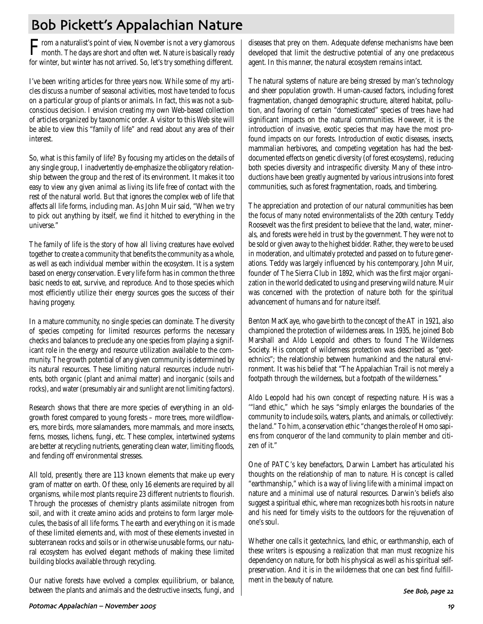# Bob Pickett's Appalachian Nature

From a naturalist's point of view, November is not a very glamorous month. The days are short and often wet. Nature is basically ready for winter, but winter has not arrived. So, let's try something different.

I've been writing articles for three years now. While some of my articles discuss a number of seasonal activities, most have tended to focus on a particular group of plants or animals. In fact, this was not a subconscious decision. I envision creating my own Web-based collection of articles organized by taxonomic order. A visitor to this Web site will be able to view this "family of life" and read about any area of their interest.

So, what is this family of life? By focusing my articles on the details of any single group, I inadvertently de-emphasize the obligatory relationship between the group and the rest of its environment. It makes it too easy to view any given animal as living its life free of contact with the rest of the natural world. But that ignores the complex web of life that affects all life forms, including man. As John Muir said, "When we try to pick out anything by itself, we find it hitched to everything in the universe."

The family of life is the story of how all living creatures have evolved together to create a community that benefits the community as a whole, as well as each individual member within the ecosystem. It is a system based on energy conservation. Every life form has in common the three basic needs to eat, survive, and reproduce. And to those species which most efficiently utilize their energy sources goes the success of their having progeny.

In a mature community, no single species can dominate. The diversity of species competing for limited resources performs the necessary checks and balances to preclude any one species from playing a significant role in the energy and resource utilization available to the community. The growth potential of any given community is determined by its natural resources. These limiting natural resources include nutrients, both organic (plant and animal matter) and inorganic (soils and rocks), and water (presumably air and sunlight are not limiting factors).

Research shows that there are more species of everything in an oldgrowth forest compared to young forests – more trees, more wildflowers, more birds, more salamanders, more mammals, and more insects, ferns, mosses, lichens, fungi, etc. These complex, intertwined systems are better at recycling nutrients, generating clean water, limiting floods, and fending off environmental stresses.

All told, presently, there are 113 known elements that make up every gram of matter on earth. Of these, only 16 elements are required by all organisms, while most plants require 23 different nutrients to flourish. Through the processes of chemistry plants assimilate nitrogen from soil, and with it create amino acids and proteins to form larger molecules, the basis of all life forms. The earth and everything on it is made of these limited elements and, with most of these elements invested in subterranean rocks and soils or in otherwise unusable forms, our natural ecosystem has evolved elegant methods of making these limited building blocks available through recycling.

Our native forests have evolved a complex equilibrium, or balance, between the plants and animals and the destructive insects, fungi, and

diseases that prey on them. Adequate defense mechanisms have been developed that limit the destructive potential of any one predaceous agent. In this manner, the natural ecosystem remains intact.

The natural systems of nature are being stressed by man's technology and sheer population growth. Human-caused factors, including forest fragmentation, changed demographic structure, altered habitat, pollution, and favoring of certain "domesticated" species of trees have had significant impacts on the natural communities. However, it is the introduction of invasive, exotic species that may have the most profound impacts on our forests. Introduction of exotic diseases, insects, mammalian herbivores, and competing vegetation has had the bestdocumented effects on genetic diversity (of forest ecosystems), reducing both species diversity and intraspecific diversity. Many of these introductions have been greatly augmented by various intrusions into forest communities, such as forest fragmentation, roads, and timbering.

The appreciation and protection of our natural communities has been the focus of many noted environmentalists of the 20th century. Teddy Roosevelt was the first president to believe that the land, water, minerals, and forests were held in trust by the government. They were not to be sold or given away to the highest bidder. Rather, they were to be used in moderation, and ultimately protected and passed on to future generations. Teddy was largely influenced by his contemporary, John Muir, founder of The Sierra Club in 1892, which was the first major organization in the world dedicated to using and preserving wild nature. Muir was concerned with the protection of nature both for the spiritual advancement of humans and for nature itself.

Benton MacKaye, who gave birth to the concept of the AT in 1921, also championed the protection of wilderness areas. In 1935, he joined Bob Marshall and Aldo Leopold and others to found The Wilderness Society. His concept of wilderness protection was described as "geotechnics"; the relationship between humankind and the natural environment. It was his belief that "The Appalachian Trail is not merely a footpath through the wilderness, but a footpath of the wilderness."

Aldo Leopold had his own concept of respecting nature. His was a '"land ethic," which he says "simply enlarges the boundaries of the community to include soils, waters, plants, and animals, or collectively: the land." To him, a conservation ethic "changes the role of Homo sapiens from conqueror of the land community to plain member and citizen of it."

One of PATC's key benefactors, Darwin Lambert has articulated his thoughts on the relationship of man to nature. His concept is called "earthmanship," which is a way of living life with a minimal impact on nature and a minimal use of natural resources. Darwin's beliefs also suggest a spiritual ethic, where man recognizes both his roots in nature and his need for timely visits to the outdoors for the rejuvenation of one's soul.

Whether one calls it geotechnics, land ethic, or earthmanship, each of these writers is espousing a realization that man must recognize his dependency on nature, for both his physical as well as his spiritual selfpreservation. And it is in the wilderness that one can best find fulfillment in the beauty of nature.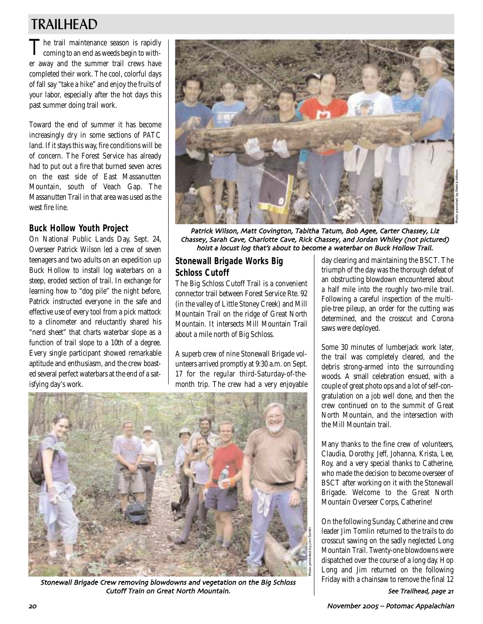# TRAILHEAD

The trail maintenance season is rapidly<br>coming to an end as weeds begin to wither away and the summer trail crews have completed their work. The cool, colorful days of fall say "take a hike" and enjoy the fruits of your labor, especially after the hot days this past summer doing trail work.

Toward the end of summer it has become increasingly dry in some sections of PATC land. If it stays this way, fire conditions will be of concern. The Forest Service has already had to put out a fire that burned seven acres on the east side of East Massanutten Mountain, south of Veach Gap. The Massanutten Trail in that area was used as the west fire line.

## **Buck Hollow Youth Project**

On National Public Lands Day, Sept. 24, Overseer Patrick Wilson led a crew of seven teenagers and two adults on an expedition up Buck Hollow to install log waterbars on a steep, eroded section of trail. In exchange for learning how to "dog pile" the night before, Patrick instructed everyone in the safe and effective use of every tool from a pick mattock to a clinometer and reluctantly shared his "nerd sheet" that charts waterbar slope as a function of trail slope to a 10th of a degree. Every single participant showed remarkable aptitude and enthusiasm, and the crew boasted several perfect waterbars at the end of a satisfying day's work.



Patrick Wilson, Matt Covington, Tabitha Tatum, Bob Agee, Carter Chassey, Liz Chassey, Sarah Cave, Charlotte Cave, Rick Chassey, and Jordan Whiley (not pictured) hoist a locust log that's about to become a waterbar on Buck Hollow Trail

Photo provided by Jim Tomlin

# **Stonewall Brigade Works Big Schloss Cutoff**

The Big Schloss Cutoff Trail is a convenient connector trail between Forest Service Rte. 92 (in the valley of Little Stoney Creek) and Mill Mountain Trail on the ridge of Great North Mountain. It intersects Mill Mountain Trail about a mile north of Big Schloss.

A superb crew of nine Stonewall Brigade volunteers arrived promptly at 9:30 a.m. on Sept. 17 for the regular third-Saturday-of-themonth trip. The crew had a very enjoyable

day clearing and maintaining the BSCT. The triumph of the day was the thorough defeat of an obstructing blowdown encountered about a half mile into the roughly two-mile trail. Following a careful inspection of the multiple-tree pileup, an order for the cutting was determined, and the crosscut and Corona saws were deployed.

Some 30 minutes of lumberjack work later, the trail was completely cleared, and the debris strong-armed into the surrounding woods. A small celebration ensued, with a couple of great photo ops and a lot of self-congratulation on a job well done, and then the crew continued on to the summit of Great North Mountain, and the intersection with the Mill Mountain trail.

Many thanks to the fine crew of volunteers, Claudia, Dorothy, Jeff, Johanna, Krista, Lee, Roy, and a very special thanks to Catherine, who made the decision to become overseer of BSCT after working on it with the Stonewall Brigade. Welcome to the Great North Mountain Overseer Corps, Catherine!

On the following Sunday, Catherine and crew leader Jim Tomlin returned to the trails to do crosscut sawing on the sadly neglected Long Mountain Trail. Twenty-one blowdowns were dispatched over the course of a long day. Hop Long and Jim returned on the following Friday with a chainsaw to remove the final 12

Stonewall Brigade Crew removing blowdowns and vegetation on the Big Schloss Cutoff Train on Great North Mountain

See Trailhead, page 21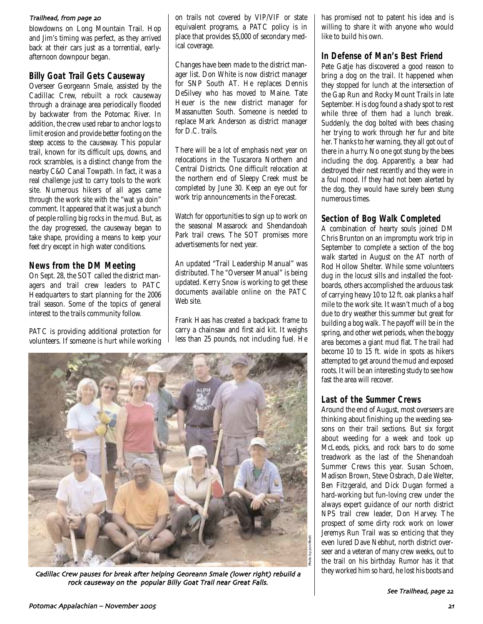#### Trailhead, from page 20

blowdowns on Long Mountain Trail. Hop and Jim's timing was perfect, as they arrived back at their cars just as a torrential, earlyafternoon downpour began.

## **Billy Goat Trail Gets Causeway**

Overseer Georgeann Smale, assisted by the Cadillac Crew, rebuilt a rock causeway through a drainage area periodically flooded by backwater from the Potomac River. In addition, the crew used rebar to anchor logs to limit erosion and provide better footing on the steep access to the causeway. This popular trail, known for its difficult ups, downs, and rock scrambles, is a distinct change from the nearby C&O Canal Towpath. In fact, it was a real challenge just to carry tools to the work site. Numerous hikers of all ages came through the work site with the "wat ya doin" comment. It appeared that it was just a bunch of people rolling big rocks in the mud. But, as the day progressed, the causeway began to take shape, providing a means to keep your feet dry except in high water conditions.

## **News from the DM Meeting**

On Sept. 28, the SOT called the district managers and trail crew leaders to PATC Headquarters to start planning for the 2006 trail season. Some of the topics of general interest to the trails community follow.

PATC is providing additional protection for volunteers. If someone is hurt while working on trails not covered by VIP/VIF or state equivalent programs, a PATC policy is in place that provides \$5,000 of secondary medical coverage.

Changes have been made to the district manager list. Don White is now district manager for SNP South AT. He replaces Dennis DeSilvey who has moved to Maine. Tate Heuer is the new district manager for Massanutten South. Someone is needed to replace Mark Anderson as district manager for D.C. trails.

There will be a lot of emphasis next year on relocations in the Tuscarora Northern and Central Districts. One difficult relocation at the northern end of Sleepy Creek must be completed by June 30. Keep an eye out for work trip announcements in the Forecast.

Watch for opportunities to sign up to work on the seasonal Massarock and Shendandoah Park trail crews. The SOT promises more advertisements for next year.

An updated "Trail Leadership Manual" was distributed. The "Overseer Manual" is being updated. Kerry Snow is working to get these documents available online on the PATC Web site.

Frank Haas has created a backpack frame to carry a chainsaw and first aid kit. It weighs less than 25 pounds, not including fuel. He



Cadillac Crew pauses for break after helping Georeann Smale (lower right) rebuild a they worked him so hard, he lost his boots and rock causeway on the popular Billy Goat Trail near Great Falls

has promised not to patent his idea and is willing to share it with anyone who would like to build his own.

## **In Defense of Man's Best Friend**

Pete Gatie has discovered a good reason to bring a dog on the trail. It happened when they stopped for lunch at the intersection of the Gap Run and Rocky Mount Trails in late September. His dog found a shady spot to rest while three of them had a lunch break. Suddenly, the dog bolted with bees chasing her trying to work through her fur and bite her. Thanks to her warning, they all got out of there in a hurry. No one got stung by the bees including the dog. Apparently, a bear had destroyed their nest recently and they were in a foul mood. If they had not been alerted by the dog, they would have surely been stung numerous times.

## **Section of Bog Walk Completed**

A combination of hearty souls joined DM Chris Brunton on an impromptu work trip in September to complete a section of the bog walk started in August on the AT north of Rod Hollow Shelter. While some volunteers dug in the locust sills and installed the footboards, others accomplished the arduous task of carrying heavy 10 to 12 ft. oak planks a half mile to the work site. It wasn't much of a bog due to dry weather this summer but great for building a bog walk. The payoff will be in the spring, and other wet periods, when the boggy area becomes a giant mud flat. The trail had become 10 to 15 ft. wide in spots as hikers attempted to get around the mud and exposed roots. It will be an interesting study to see how fast the area will recover.

## **Last of the Summer Crews**

Around the end of August, most overseers are thinking about finishing up the weeding seasons on their trail sections. But six forgot about weeding for a week and took up McLeods, picks, and rock bars to do some treadwork as the last of the Shenandoah Summer Crews this year. Susan Schoen, Madison Brown, Steve Osbrach, Dale Welter, Ben Fitzgerald, and Dick Dugan formed a hard-working but fun-loving crew under the always expert guidance of our north district NPS trail crew leader, Don Harvey. The prospect of some dirty rock work on lower Jeremys Run Trail was so enticing that they even lured Dave Nebhut, north district overseer and a veteran of many crew weeks, out to the trail on his birthday. Rumor has it that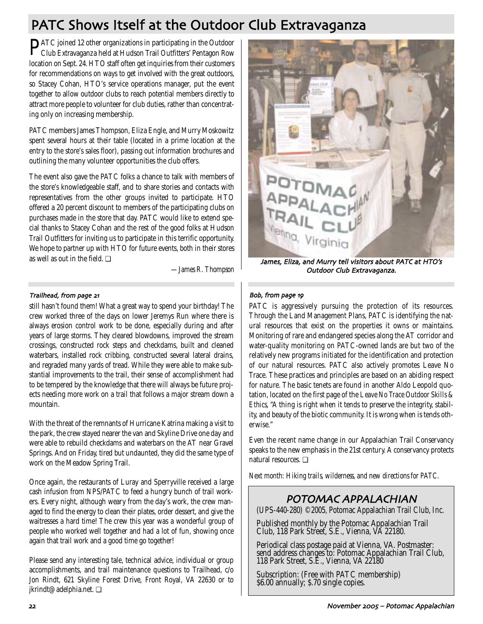# PATC Shows Itself at the Outdoor Club Extravaganza

PATC joined 12 other organizations in participating in the Outdoor Club Extravaganza held at Hudson Trail Outfitters' Pentagon Row location on Sept. 24. HTO staff often get inquiries from their customers for recommendations on ways to get involved with the great outdoors, so Stacey Cohan, HTO's service operations manager, put the event together to allow outdoor clubs to reach potential members directly to attract more people to volunteer for club duties, rather than concentrating only on increasing membership.

PATC members James Thompson, Eliza Engle, and Murry Moskowitz spent several hours at their table (located in a prime location at the entry to the store's sales floor), passing out information brochures and outlining the many volunteer opportunities the club offers.

The event also gave the PATC folks a chance to talk with members of the store's knowledgeable staff, and to share stories and contacts with representatives from the other groups invited to participate. HTO offered a 20 percent discount to members of the participating clubs on purchases made in the store that day. PATC would like to extend special thanks to Stacey Cohan and the rest of the good folks at Hudson Trail Outfitters for inviting us to participate in this terrific opportunity. We hope to partner up with HTO for future events, both in their stores as well as out in the field.  $\Box$ 

*—James R. Thompson*

## Trailhead, from page 21

still hasn't found them! What a great way to spend your birthday! The crew worked three of the days on lower Jeremys Run where there is always erosion control work to be done, especially during and after years of large storms. They cleared blowdowns, improved the stream crossings, constructed rock steps and checkdams, built and cleaned waterbars, installed rock cribbing, constructed several lateral drains, and regraded many yards of tread. While they were able to make substantial improvements to the trail, their sense of accomplishment had to be tempered by the knowledge that there will always be future projects needing more work on a trail that follows a major stream down a mountain.

With the threat of the remnants of Hurricane Katrina making a visit to the park, the crew stayed nearer the van and Skyline Drive one day and were able to rebuild checkdams and waterbars on the AT near Gravel Springs. And on Friday, tired but undaunted, they did the same type of work on the Meadow Spring Trail.

Once again, the restaurants of Luray and Sperryville received a large cash infusion from NPS/PATC to feed a hungry bunch of trail workers. Every night, although weary from the day's work, the crew managed to find the energy to clean their plates, order dessert, and give the waitresses a hard time! The crew this year was a wonderful group of people who worked well together and had a lot of fun, showing once again that trail work and a good time go together!

Please send any interesting tale, technical advice, individual or group accomplishments, and trail maintenance questions to Trailhead, c/o Jon Rindt, 621 Skyline Forest Drive, Front Royal, VA 22630 or to jkrindt@adelphia.net. ❏



James, Eliza, and Murry tell visitors about PATC at HTO's Outdoor Club Extravaganza

## Bob, from page 19

PATC is aggressively pursuing the protection of its resources. Through the Land Management Plans, PATC is identifying the natural resources that exist on the properties it owns or maintains. Monitoring of rare and endangered species along the AT corridor and water-quality monitoring on PATC-owned lands are but two of the relatively new programs initiated for the identification and protection of our natural resources. PATC also actively promotes Leave No Trace. These practices and principles are based on an abiding respect for nature. The basic tenets are found in another Aldo Leopold quotation, located on the first page of the *Leave No Trace Outdoor Skills & Ethics*, "A thing is right when it tends to preserve the integrity, stability, and beauty of the biotic community. It is wrong when is tends otherwise."

Even the recent name change in our Appalachian Trail Conservancy speaks to the new emphasis in the 21st century. A conservancy protects natural resources. ❏

*Next month: Hiking trails, wilderness, and new directions for PATC.*

# POTOMAC APPALACHIAN

(UPS-440-280) ©2005, Potomac Appalachian Trail Club, Inc.

Published monthly by the Potomac Appalachian Trail Club, 118 Park Street, S.E., Vienna, VA 22180.

Periodical class postage paid at Vienna, VA. Postmaster: send address changes to: Potomac Appalachian Trail Club, 118 Park Street, S.E., Vienna, VA 22180

Subscription: (Free with PATC membership) \$6.00 annually; \$.70 single copies.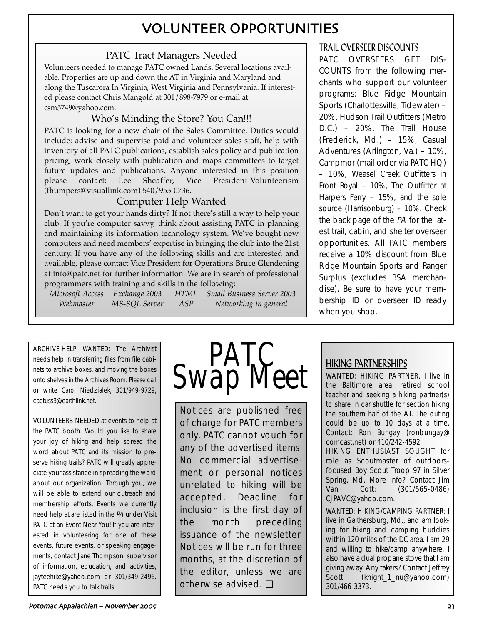# VOLUNTEER OPPORTUNITIES

# PATC Tract Managers Needed

Volunteers needed to manage PATC owned Lands. Several locations available. Properties are up and down the AT in Virginia and Maryland and along the Tuscarora In Virginia, West Virginia and Pennsylvania. If interested please contact Chris Mangold at 301/898-7979 or e-mail at csm5749@yahoo.com.

# Who's Minding the Store? You Can!!!

PATC is looking for a new chair of the Sales Committee. Duties would include: advise and supervise paid and volunteer sales staff, help with inventory of all PATC publications, establish sales policy and publication pricing, work closely with publication and maps committees to target future updates and publications. Anyone interested in this position please contact: Lee Sheaffer, Vice President-Volunteerism (thumpers@visuallink.com) 540/955-0736.

# Computer Help Wanted

Don't want to get your hands dirty? If not there's still a way to help your club. If you're computer savvy, think about assisting PATC in planning and maintaining its information technology system. We've bought new computers and need members' expertise in bringing the club into the 21st century. If you have any of the following skills and are interested and available, please contact Vice President for Operations Bruce Glendening at info@patc.net for further information. We are in search of professional programmers with training and skills in the following:

*Microsoft Access Exchange 2003 HTML Small Business Server 2003 Webmaster MS-SQL Server ASP Networking in general*

ARCHIVE HELP WANTED: The Archivist needs help in transferring files from file cabinets to archive boxes, and moving the boxes onto shelves in the Archives Room. Please call or write Carol Niedzialek, 301/949-9729, cactuss3@earthlink.net.

VOLUNTEERS NEEDED at events to help at the PATC booth. Would you like to share your joy of hiking and help spread the word about PATC and its mission to preserve hiking trails? PATC will greatly appreciate your assistance in spreading the word about our organization. Through you, we will be able to extend our outreach and membership efforts. Events we currently need help at are listed in the PA under Visit PATC at an Event Near You! If you are interested in volunteering for one of these events, future events, or speaking engagements, contact Jane Thompson, supervisor of information, education, and activities, jayteehike@yahoo.com or 301/349-2496. PATC needs you to talk trails!



Notices are published free of charge for PATC members only. PATC cannot vouch for any of the advertised items. No commercial advertisement or personal notices unrelated to hiking will be accepted. Deadline for inclusion is the first day of the month preceding issuance of the newsletter. Notices will be run for three months, at the discretion of the editor, unless we are otherwise advised. ❏

# TRAIL OVERSEER DISCOUNTS

PATC OVERSEERS GET DIS-COUNTS from the following merchants who support our volunteer programs: Blue Ridge Mountain Sports (Charlottesville, Tidewater) – 20%, Hudson Trail Outfitters (Metro D.C.) – 20%, The Trail House (Frederick, Md.) – 15%, Casual Adventures (Arlington, Va.) – 10%, Campmor (mail order via PATC HQ) – 10%, Weasel Creek Outfitters in Front Royal – 10%, The Outfitter at Harpers Ferry – 15%, and the sole source (Harrisonburg) – 10%. Check the back page of the PA for the latest trail, cabin, and shelter overseer opportunities. All PATC members receive a 10% discount from Blue Ridge Mountain Sports and Ranger Surplus (excludes BSA merchandise). Be sure to have your membership ID or overseer ID ready when you shop.

# HIKING PARTNERSHIPS

WANTED: HIKING PARTNER. I live in the Baltimore area, retired school teacher and seeking a hiking partner(s) to share in car shuttle for section hiking the southern half of the AT. The outing could be up to 10 days at a time. Contact: Ron Bungay (ronbungay@ comcast.net) or 410/242-4592

HIKING ENTHUSIAST SOUGHT for role as Scoutmaster of outdoorsfocused Boy Scout Troop 97 in Silver Spring, Md. More info? Contact Jim Van Cott: (301/565-0486) CJPAVC@yahoo.com.

WANTED: HIKING/CAMPING PARTNER: I live in Gaithersburg, Md., and am looking for hiking and camping buddies within 120 miles of the DC area. I am 29 and willing to hike/camp anywhere. I also have a dual propane stove that I am giving away. Any takers? Contact Jeffrey Scott (knight\_1\_nu@yahoo.com) 301/466-3373.